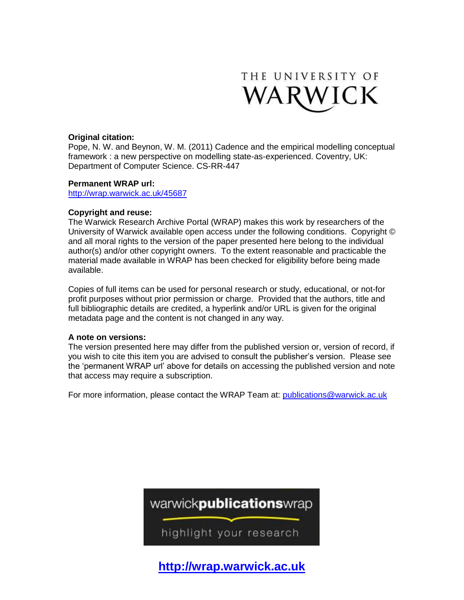

#### **Original citation:**

Pope, N. W. and Beynon, W. M. (2011) Cadence and the empirical modelling conceptual framework : a new perspective on modelling state-as-experienced. Coventry, UK: Department of Computer Science. CS-RR-447

#### **Permanent WRAP url:**

<http://wrap.warwick.ac.uk/45687>

#### **Copyright and reuse:**

The Warwick Research Archive Portal (WRAP) makes this work by researchers of the University of Warwick available open access under the following conditions. Copyright © and all moral rights to the version of the paper presented here belong to the individual author(s) and/or other copyright owners. To the extent reasonable and practicable the material made available in WRAP has been checked for eligibility before being made available.

Copies of full items can be used for personal research or study, educational, or not-for profit purposes without prior permission or charge. Provided that the authors, title and full bibliographic details are credited, a hyperlink and/or URL is given for the original metadata page and the content is not changed in any way.

### **A note on versions:**

The version presented here may differ from the published version or, version of record, if you wish to cite this item you are advised to consult the publisher's version. Please see the 'permanent WRAP url' above for details on accessing the published version and note that access may require a subscription.

For more information, please contact the WRAP Team at: [publications@warwick.ac.uk](mailto:publications@warwick.ac.uk)



**[http://wrap.warwick.ac.uk](http://wrap.warwick.ac.uk/)**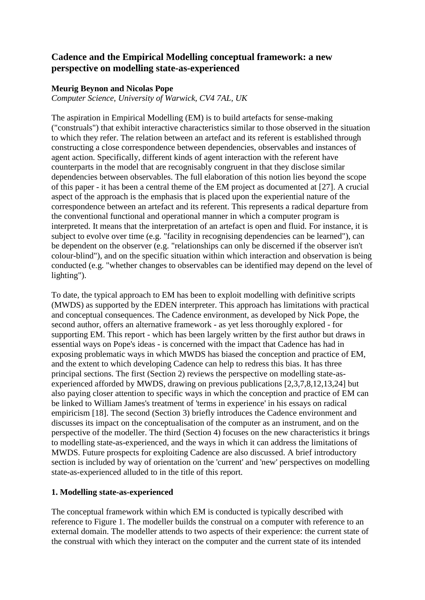# **Cadence and the Empirical Modelling conceptual framework: a new perspective on modelling state-as-experienced**

### **Meurig Beynon and Nicolas Pope**

*Computer Science, University of Warwick, CV4 7AL, UK*

The aspiration in Empirical Modelling (EM) is to build artefacts for sense-making ("construals") that exhibit interactive characteristics similar to those observed in the situation to which they refer. The relation between an artefact and its referent is established through constructing a close correspondence between dependencies, observables and instances of agent action. Specifically, different kinds of agent interaction with the referent have counterparts in the model that are recognisably congruent in that they disclose similar dependencies between observables. The full elaboration of this notion lies beyond the scope of this paper - it has been a central theme of the EM project as documented at [27]. A crucial aspect of the approach is the emphasis that is placed upon the experiential nature of the correspondence between an artefact and its referent. This represents a radical departure from the conventional functional and operational manner in which a computer program is interpreted. It means that the interpretation of an artefact is open and fluid. For instance, it is subject to evolve over time (e.g. "facility in recognising dependencies can be learned"), can be dependent on the observer (e.g. "relationships can only be discerned if the observer isn't colour-blind"), and on the specific situation within which interaction and observation is being conducted (e.g. "whether changes to observables can be identified may depend on the level of lighting").

To date, the typical approach to EM has been to exploit modelling with definitive scripts (MWDS) as supported by the EDEN interpreter. This approach has limitations with practical and conceptual consequences. The Cadence environment, as developed by Nick Pope, the second author, offers an alternative framework - as yet less thoroughly explored - for supporting EM. This report - which has been largely written by the first author but draws in essential ways on Pope's ideas - is concerned with the impact that Cadence has had in exposing problematic ways in which MWDS has biased the conception and practice of EM, and the extent to which developing Cadence can help to redress this bias. It has three principal sections. The first (Section 2) reviews the perspective on modelling state-asexperienced afforded by MWDS, drawing on previous publications [2,3,7,8,12,13,24] but also paying closer attention to specific ways in which the conception and practice of EM can be linked to William James's treatment of 'terms in experience' in his essays on radical empiricism [18]. The second (Section 3) briefly introduces the Cadence environment and discusses its impact on the conceptualisation of the computer as an instrument, and on the perspective of the modeller. The third (Section 4) focuses on the new characteristics it brings to modelling state-as-experienced, and the ways in which it can address the limitations of MWDS. Future prospects for exploiting Cadence are also discussed. A brief introductory section is included by way of orientation on the 'current' and 'new' perspectives on modelling state-as-experienced alluded to in the title of this report.

### **1. Modelling state-as-experienced**

The conceptual framework within which EM is conducted is typically described with reference to Figure 1. The modeller builds the construal on a computer with reference to an external domain. The modeller attends to two aspects of their experience: the current state of the construal with which they interact on the computer and the current state of its intended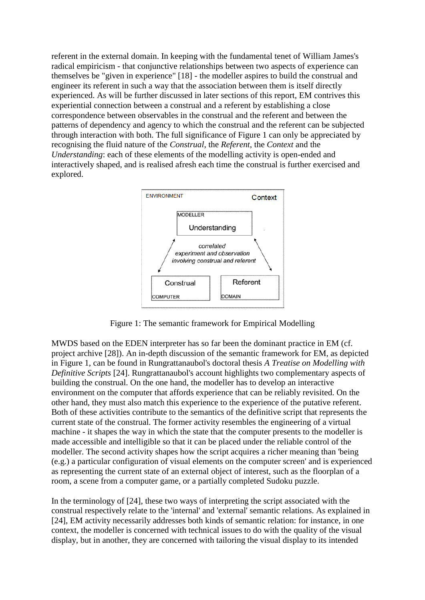referent in the external domain. In keeping with the fundamental tenet of William James's radical empiricism - that conjunctive relationships between two aspects of experience can themselves be "given in experience" [18] - the modeller aspires to build the construal and engineer its referent in such a way that the association between them is itself directly experienced. As will be further discussed in later sections of this report, EM contrives this experiential connection between a construal and a referent by establishing a close correspondence between observables in the construal and the referent and between the patterns of dependency and agency to which the construal and the referent can be subjected through interaction with both. The full significance of Figure 1 can only be appreciated by recognising the fluid nature of the *Construal*, the *Referent*, the *Context* and the *Understanding*: each of these elements of the modelling activity is open-ended and interactively shaped, and is realised afresh each time the construal is further exercised and explored.



Figure 1: The semantic framework for Empirical Modelling

MWDS based on the EDEN interpreter has so far been the dominant practice in EM (cf. project archive [28]). An in-depth discussion of the semantic framework for EM, as depicted in Figure 1, can be found in Rungrattanaubol's doctoral thesis *A Treatise on Modelling with Definitive Scripts* [24]. Rungrattanaubol's account highlights two complementary aspects of building the construal. On the one hand, the modeller has to develop an interactive environment on the computer that affords experience that can be reliably revisited. On the other hand, they must also match this experience to the experience of the putative referent. Both of these activities contribute to the semantics of the definitive script that represents the current state of the construal. The former activity resembles the engineering of a virtual machine - it shapes the way in which the state that the computer presents to the modeller is made accessible and intelligible so that it can be placed under the reliable control of the modeller. The second activity shapes how the script acquires a richer meaning than 'being (e.g.) a particular configuration of visual elements on the computer screen' and is experienced as representing the current state of an external object of interest, such as the floorplan of a room, a scene from a computer game, or a partially completed Sudoku puzzle.

In the terminology of [24], these two ways of interpreting the script associated with the construal respectively relate to the 'internal' and 'external' semantic relations. As explained in [24], EM activity necessarily addresses both kinds of semantic relation: for instance, in one context, the modeller is concerned with technical issues to do with the quality of the visual display, but in another, they are concerned with tailoring the visual display to its intended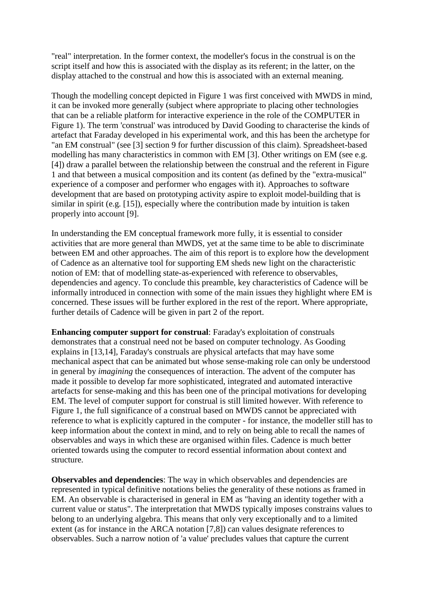"real" interpretation. In the former context, the modeller's focus in the construal is on the script itself and how this is associated with the display as its referent; in the latter, on the display attached to the construal and how this is associated with an external meaning.

Though the modelling concept depicted in Figure 1 was first conceived with MWDS in mind, it can be invoked more generally (subject where appropriate to placing other technologies that can be a reliable platform for interactive experience in the role of the COMPUTER in Figure 1). The term 'construal' was introduced by David Gooding to characterise the kinds of artefact that Faraday developed in his experimental work, and this has been the archetype for "an EM construal" (see [3] section 9 for further discussion of this claim). Spreadsheet-based modelling has many characteristics in common with EM [3]. Other writings on EM (see e.g. [4]) draw a parallel between the relationship between the construal and the referent in Figure 1 and that between a musical composition and its content (as defined by the "extra-musical" experience of a composer and performer who engages with it). Approaches to software development that are based on prototyping activity aspire to exploit model-building that is similar in spirit (e.g. [15]), especially where the contribution made by intuition is taken properly into account [9].

In understanding the EM conceptual framework more fully, it is essential to consider activities that are more general than MWDS, yet at the same time to be able to discriminate between EM and other approaches. The aim of this report is to explore how the development of Cadence as an alternative tool for supporting EM sheds new light on the characteristic notion of EM: that of modelling state-as-experienced with reference to observables, dependencies and agency. To conclude this preamble, key characteristics of Cadence will be informally introduced in connection with some of the main issues they highlight where EM is concerned. These issues will be further explored in the rest of the report. Where appropriate, further details of Cadence will be given in part 2 of the report.

**Enhancing computer support for construal**: Faraday's exploitation of construals demonstrates that a construal need not be based on computer technology. As Gooding explains in [13,14], Faraday's construals are physical artefacts that may have some mechanical aspect that can be animated but whose sense-making role can only be understood in general by *imagining* the consequences of interaction. The advent of the computer has made it possible to develop far more sophisticated, integrated and automated interactive artefacts for sense-making and this has been one of the principal motivations for developing EM. The level of computer support for construal is still limited however. With reference to Figure 1, the full significance of a construal based on MWDS cannot be appreciated with reference to what is explicitly captured in the computer - for instance, the modeller still has to keep information about the context in mind, and to rely on being able to recall the names of observables and ways in which these are organised within files. Cadence is much better oriented towards using the computer to record essential information about context and structure.

**Observables and dependencies**: The way in which observables and dependencies are represented in typical definitive notations belies the generality of these notions as framed in EM. An observable is characterised in general in EM as "having an identity together with a current value or status". The interpretation that MWDS typically imposes constrains values to belong to an underlying algebra. This means that only very exceptionally and to a limited extent (as for instance in the ARCA notation [7,8]) can values designate references to observables. Such a narrow notion of 'a value' precludes values that capture the current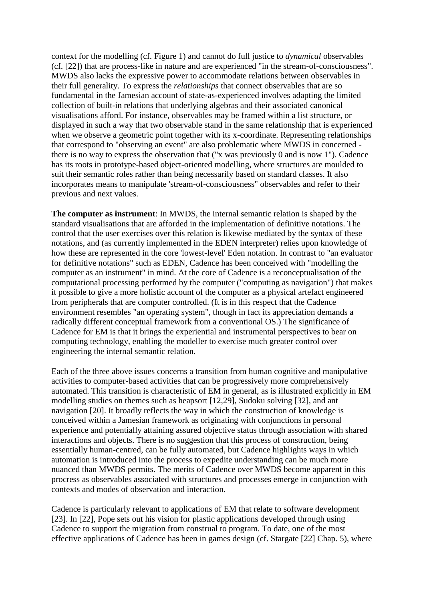context for the modelling (cf. Figure 1) and cannot do full justice to *dynamical* observables (cf. [22]) that are process-like in nature and are experienced "in the stream-of-consciousness". MWDS also lacks the expressive power to accommodate relations between observables in their full generality. To express the *relationships* that connect observables that are so fundamental in the Jamesian account of state-as-experienced involves adapting the limited collection of built-in relations that underlying algebras and their associated canonical visualisations afford. For instance, observables may be framed within a list structure, or displayed in such a way that two observable stand in the same relationship that is experienced when we observe a geometric point together with its x-coordinate. Representing relationships that correspond to "observing an event" are also problematic where MWDS in concerned there is no way to express the observation that ("x was previously 0 and is now 1"). Cadence has its roots in prototype-based object-oriented modelling, where structures are moulded to suit their semantic roles rather than being necessarily based on standard classes. It also incorporates means to manipulate 'stream-of-consciousness" observables and refer to their previous and next values.

**The computer as instrument**: In MWDS, the internal semantic relation is shaped by the standard visualisations that are afforded in the implementation of definitive notations. The control that the user exercises over this relation is likewise mediated by the syntax of these notations, and (as currently implemented in the EDEN interpreter) relies upon knowledge of how these are represented in the core 'lowest-level' Eden notation. In contrast to "an evaluator for definitive notations" such as EDEN, Cadence has been conceived with "modelling the computer as an instrument" in mind. At the core of Cadence is a reconceptualisation of the computational processing performed by the computer ("computing as navigation") that makes it possible to give a more holistic account of the computer as a physical artefact engineered from peripherals that are computer controlled. (It is in this respect that the Cadence environment resembles "an operating system", though in fact its appreciation demands a radically different conceptual framework from a conventional OS.) The significance of Cadence for EM is that it brings the experiential and instrumental perspectives to bear on computing technology, enabling the modeller to exercise much greater control over engineering the internal semantic relation.

Each of the three above issues concerns a transition from human cognitive and manipulative activities to computer-based activities that can be progressively more comprehensively automated. This transition is characteristic of EM in general, as is illustrated explicitly in EM modelling studies on themes such as heapsort [12,29], Sudoku solving [32], and ant navigation [20]. It broadly reflects the way in which the construction of knowledge is conceived within a Jamesian framework as originating with conjunctions in personal experience and potentially attaining assured objective status through association with shared interactions and objects. There is no suggestion that this process of construction, being essentially human-centred, can be fully automated, but Cadence highlights ways in which automation is introduced into the process to expedite understanding can be much more nuanced than MWDS permits. The merits of Cadence over MWDS become apparent in this procress as observables associated with structures and processes emerge in conjunction with contexts and modes of observation and interaction.

Cadence is particularly relevant to applications of EM that relate to software development [23]. In [22], Pope sets out his vision for plastic applications developed through using Cadence to support the migration from construal to program. To date, one of the most effective applications of Cadence has been in games design (cf. Stargate [22] Chap. 5), where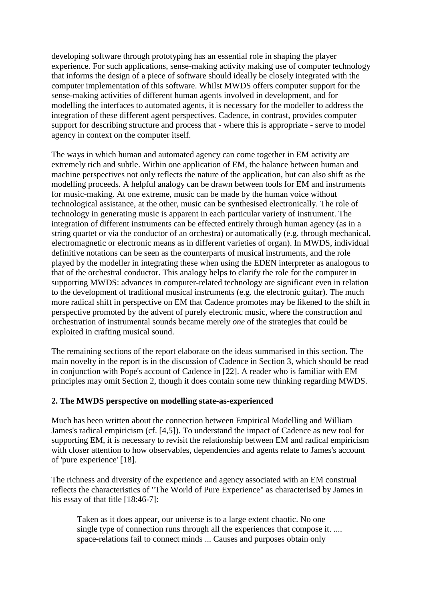developing software through prototyping has an essential role in shaping the player experience. For such applications, sense-making activity making use of computer technology that informs the design of a piece of software should ideally be closely integrated with the computer implementation of this software. Whilst MWDS offers computer support for the sense-making activities of different human agents involved in development, and for modelling the interfaces to automated agents, it is necessary for the modeller to address the integration of these different agent perspectives. Cadence, in contrast, provides computer support for describing structure and process that - where this is appropriate - serve to model agency in context on the computer itself.

The ways in which human and automated agency can come together in EM activity are extremely rich and subtle. Within one application of EM, the balance between human and machine perspectives not only reflects the nature of the application, but can also shift as the modelling proceeds. A helpful analogy can be drawn between tools for EM and instruments for music-making. At one extreme, music can be made by the human voice without technological assistance, at the other, music can be synthesised electronically. The role of technology in generating music is apparent in each particular variety of instrument. The integration of different instruments can be effected entirely through human agency (as in a string quartet or via the conductor of an orchestra) or automatically (e.g. through mechanical, electromagnetic or electronic means as in different varieties of organ). In MWDS, individual definitive notations can be seen as the counterparts of musical instruments, and the role played by the modeller in integrating these when using the EDEN interpreter as analogous to that of the orchestral conductor. This analogy helps to clarify the role for the computer in supporting MWDS: advances in computer-related technology are significant even in relation to the development of traditional musical instruments (e.g. the electronic guitar). The much more radical shift in perspective on EM that Cadence promotes may be likened to the shift in perspective promoted by the advent of purely electronic music, where the construction and orchestration of instrumental sounds became merely *one* of the strategies that could be exploited in crafting musical sound.

The remaining sections of the report elaborate on the ideas summarised in this section. The main novelty in the report is in the discussion of Cadence in Section 3, which should be read in conjunction with Pope's account of Cadence in [22]. A reader who is familiar with EM principles may omit Section 2, though it does contain some new thinking regarding MWDS.

## **2. The MWDS perspective on modelling state-as-experienced**

Much has been written about the connection between Empirical Modelling and William James's radical empiricism (cf. [4,5]). To understand the impact of Cadence as new tool for supporting EM, it is necessary to revisit the relationship between EM and radical empiricism with closer attention to how observables, dependencies and agents relate to James's account of 'pure experience' [18].

The richness and diversity of the experience and agency associated with an EM construal reflects the characteristics of "The World of Pure Experience" as characterised by James in his essay of that title [18:46-7]:

Taken as it does appear, our universe is to a large extent chaotic. No one single type of connection runs through all the experiences that compose it. .... space-relations fail to connect minds ... Causes and purposes obtain only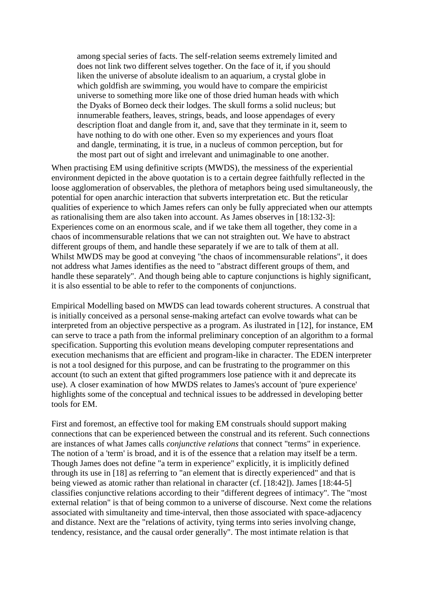among special series of facts. The self-relation seems extremely limited and does not link two different selves together. On the face of it, if you should liken the universe of absolute idealism to an aquarium, a crystal globe in which goldfish are swimming, you would have to compare the empiricist universe to something more like one of those dried human heads with which the Dyaks of Borneo deck their lodges. The skull forms a solid nucleus; but innumerable feathers, leaves, strings, beads, and loose appendages of every description float and dangle from it, and, save that they terminate in it, seem to have nothing to do with one other. Even so my experiences and yours float and dangle, terminating, it is true, in a nucleus of common perception, but for the most part out of sight and irrelevant and unimaginable to one another.

When practising EM using definitive scripts (MWDS), the messiness of the experiential environment depicted in the above quotation is to a certain degree faithfully reflected in the loose agglomeration of observables, the plethora of metaphors being used simultaneously, the potential for open anarchic interaction that subverts interpretation etc. But the reticular qualities of experience to which James refers can only be fully appreciated when our attempts as rationalising them are also taken into account. As James observes in [18:132-3]: Experiences come on an enormous scale, and if we take them all together, they come in a chaos of incommensurable relations that we can not straighten out. We have to abstract different groups of them, and handle these separately if we are to talk of them at all. Whilst MWDS may be good at conveying "the chaos of incommensurable relations", it does not address what James identifies as the need to "abstract different groups of them, and handle these separately". And though being able to capture conjunctions is highly significant, it is also essential to be able to refer to the components of conjunctions.

Empirical Modelling based on MWDS can lead towards coherent structures. A construal that is initially conceived as a personal sense-making artefact can evolve towards what can be interpreted from an objective perspective as a program. As ilustrated in [12], for instance, EM can serve to trace a path from the informal preliminary conception of an algorithm to a formal specification. Supporting this evolution means developing computer representations and execution mechanisms that are efficient and program-like in character. The EDEN interpreter is not a tool designed for this purpose, and can be frustrating to the programmer on this account (to such an extent that gifted programmers lose patience with it and deprecate its use). A closer examination of how MWDS relates to James's account of 'pure experience' highlights some of the conceptual and technical issues to be addressed in developing better tools for EM.

First and foremost, an effective tool for making EM construals should support making connections that can be experienced between the construal and its referent. Such connections are instances of what James calls *conjunctive relations* that connect "terms" in experience. The notion of a 'term' is broad, and it is of the essence that a relation may itself be a term. Though James does not define "a term in experience" explicitly, it is implicitly defined through its use in [18] as referring to "an element that is directly experienced" and that is being viewed as atomic rather than relational in character (cf. [18:42]). James [18:44-5] classifies conjunctive relations according to their "different degrees of intimacy". The "most external relation" is that of being common to a universe of discourse. Next come the relations associated with simultaneity and time-interval, then those associated with space-adjacency and distance. Next are the "relations of activity, tying terms into series involving change, tendency, resistance, and the causal order generally". The most intimate relation is that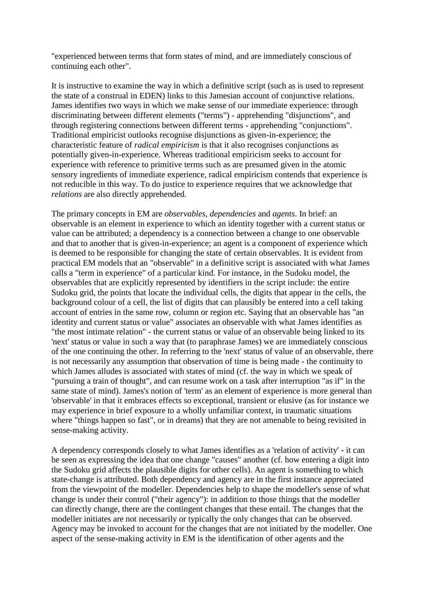"experienced between terms that form states of mind, and are immediately conscious of continuing each other".

It is instructive to examine the way in which a definitive script (such as is used to represent the state of a construal in EDEN) links to this Jamesian account of conjunctive relations. James identifies two ways in which we make sense of our immediate experience: through discriminating between different elements ("terms") - apprehending "disjunctions", and through registering connections between different terms - apprehending "conjunctions". Traditional empiricist outlooks recognise disjunctions as given-in-experience; the characteristic feature of *radical empiricism* is that it also recognises conjunctions as potentially given-in-experience. Whereas traditional empiricism seeks to account for experience with reference to primitive terms such as are presumed given in the atomic sensory ingredients of immediate experience, radical empiricism contends that experience is not reducible in this way. To do justice to experience requires that we acknowledge that *relations* are also directly apprehended.

The primary concepts in EM are *observables*, *dependencies* and *agents*. In brief: an observable is an element in experience to which an identity together with a current status or value can be attributed; a dependency is a connection between a change to one observable and that to another that is given-in-experience; an agent is a component of experience which is deemed to be responsible for changing the state of certain observables. It is evident from practical EM models that an "observable" in a definitive script is associated with what James calls a "term in experience" of a particular kind. For instance, in the Sudoku model, the observables that are explicitly represented by identifiers in the script include: the entire Sudoku grid, the points that locate the individual cells, the digits that appear in the cells, the background colour of a cell, the list of digits that can plausibly be entered into a cell taking account of entries in the same row, column or region etc. Saying that an observable has "an identity and current status or value" associates an observable with what James identifies as "the most intimate relation" - the current status or value of an observable being linked to its 'next' status or value in such a way that (to paraphrase James) we are immediately conscious of the one continuing the other. In referring to the 'next' status of value of an observable, there is not necessarily any assumption that observation of time is being made - the continuity to which James alludes is associated with states of mind (cf. the way in which we speak of "pursuing a train of thought", and can resume work on a task after interruption "as if" in the same state of mind). James's notion of 'term' as an element of experience is more general than 'observable' in that it embraces effects so exceptional, transient or elusive (as for instance we may experience in brief exposure to a wholly unfamiliar context, in traumatic situations where "things happen so fast", or in dreams) that they are not amenable to being revisited in sense-making activity.

A dependency corresponds closely to what James identifies as a 'relation of activity' - it can be seen as expressing the idea that one change "causes" another (cf. how entering a digit into the Sudoku grid affects the plausible digits for other cells). An agent is something to which state-change is attributed. Both dependency and agency are in the first instance appreciated from the viewpoint of the modeller. Dependencies help to shape the modeller's sense of what change is under their control ("their agency"): in addition to those things that the modeller can directly change, there are the contingent changes that these entail. The changes that the modeller initiates are not necessarily or typically the only changes that can be observed. Agency may be invoked to account for the changes that are not initiated by the modeller. One aspect of the sense-making activity in EM is the identification of other agents and the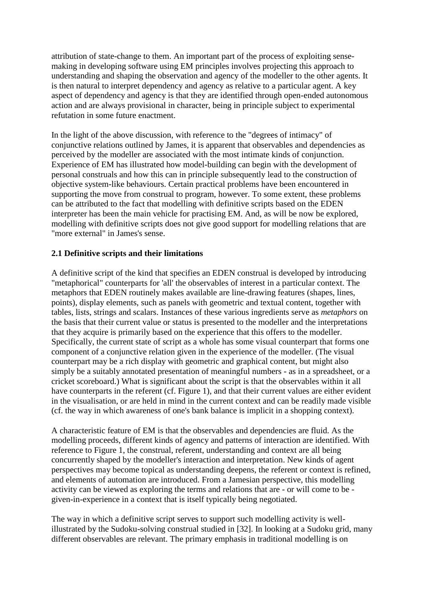attribution of state-change to them. An important part of the process of exploiting sensemaking in developing software using EM principles involves projecting this approach to understanding and shaping the observation and agency of the modeller to the other agents. It is then natural to interpret dependency and agency as relative to a particular agent. A key aspect of dependency and agency is that they are identified through open-ended autonomous action and are always provisional in character, being in principle subject to experimental refutation in some future enactment.

In the light of the above discussion, with reference to the "degrees of intimacy" of conjunctive relations outlined by James, it is apparent that observables and dependencies as perceived by the modeller are associated with the most intimate kinds of conjunction. Experience of EM has illustrated how model-building can begin with the development of personal construals and how this can in principle subsequently lead to the construction of objective system-like behaviours. Certain practical problems have been encountered in supporting the move from construal to program, however. To some extent, these problems can be attributed to the fact that modelling with definitive scripts based on the EDEN interpreter has been the main vehicle for practising EM. And, as will be now be explored, modelling with definitive scripts does not give good support for modelling relations that are "more external" in James's sense.

# **2.1 Definitive scripts and their limitations**

A definitive script of the kind that specifies an EDEN construal is developed by introducing "metaphorical" counterparts for 'all' the observables of interest in a particular context. The metaphors that EDEN routinely makes available are line-drawing features (shapes, lines, points), display elements, such as panels with geometric and textual content, together with tables, lists, strings and scalars. Instances of these various ingredients serve as *metaphors* on the basis that their current value or status is presented to the modeller and the interpretations that they acquire is primarily based on the experience that this offers to the modeller. Specifically, the current state of script as a whole has some visual counterpart that forms one component of a conjunctive relation given in the experience of the modeller. (The visual counterpart may be a rich display with geometric and graphical content, but might also simply be a suitably annotated presentation of meaningful numbers - as in a spreadsheet, or a cricket scoreboard.) What is significant about the script is that the observables within it all have counterparts in the referent (cf. Figure 1), and that their current values are either evident in the visualisation, or are held in mind in the current context and can be readily made visible (cf. the way in which awareness of one's bank balance is implicit in a shopping context).

A characteristic feature of EM is that the observables and dependencies are fluid. As the modelling proceeds, different kinds of agency and patterns of interaction are identified. With reference to Figure 1, the construal, referent, understanding and context are all being concurrently shaped by the modeller's interaction and interpretation. New kinds of agent perspectives may become topical as understanding deepens, the referent or context is refined, and elements of automation are introduced. From a Jamesian perspective, this modelling activity can be viewed as exploring the terms and relations that are - or will come to be given-in-experience in a context that is itself typically being negotiated.

The way in which a definitive script serves to support such modelling activity is wellillustrated by the Sudoku-solving construal studied in [32]. In looking at a Sudoku grid, many different observables are relevant. The primary emphasis in traditional modelling is on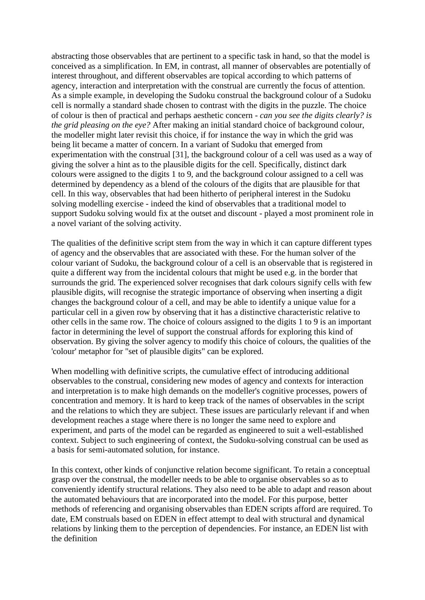abstracting those observables that are pertinent to a specific task in hand, so that the model is conceived as a simplification. In EM, in contrast, all manner of observables are potentially of interest throughout, and different observables are topical according to which patterns of agency, interaction and interpretation with the construal are currently the focus of attention. As a simple example, in developing the Sudoku construal the background colour of a Sudoku cell is normally a standard shade chosen to contrast with the digits in the puzzle. The choice of colour is then of practical and perhaps aesthetic concern - *can you see the digits clearly? is the grid pleasing on the eye?* After making an initial standard choice of background colour, the modeller might later revisit this choice, if for instance the way in which the grid was being lit became a matter of concern. In a variant of Sudoku that emerged from experimentation with the construal [31], the background colour of a cell was used as a way of giving the solver a hint as to the plausible digits for the cell. Specifically, distinct dark colours were assigned to the digits 1 to 9, and the background colour assigned to a cell was determined by dependency as a blend of the colours of the digits that are plausible for that cell. In this way, observables that had been hitherto of peripheral interest in the Sudoku solving modelling exercise - indeed the kind of observables that a traditional model to support Sudoku solving would fix at the outset and discount - played a most prominent role in a novel variant of the solving activity.

The qualities of the definitive script stem from the way in which it can capture different types of agency and the observables that are associated with these. For the human solver of the colour variant of Sudoku, the background colour of a cell is an observable that is registered in quite a different way from the incidental colours that might be used e.g. in the border that surrounds the grid. The experienced solver recognises that dark colours signify cells with few plausible digits, will recognise the strategic importance of observing when inserting a digit changes the background colour of a cell, and may be able to identify a unique value for a particular cell in a given row by observing that it has a distinctive characteristic relative to other cells in the same row. The choice of colours assigned to the digits 1 to 9 is an important factor in determining the level of support the construal affords for exploring this kind of observation. By giving the solver agency to modify this choice of colours, the qualities of the 'colour' metaphor for "set of plausible digits" can be explored.

When modelling with definitive scripts, the cumulative effect of introducing additional observables to the construal, considering new modes of agency and contexts for interaction and interpretation is to make high demands on the modeller's cognitive processes, powers of concentration and memory. It is hard to keep track of the names of observables in the script and the relations to which they are subject. These issues are particularly relevant if and when development reaches a stage where there is no longer the same need to explore and experiment, and parts of the model can be regarded as engineered to suit a well-established context. Subject to such engineering of context, the Sudoku-solving construal can be used as a basis for semi-automated solution, for instance.

In this context, other kinds of conjunctive relation become significant. To retain a conceptual grasp over the construal, the modeller needs to be able to organise observables so as to conveniently identify structural relations. They also need to be able to adapt and reason about the automated behaviours that are incorporated into the model. For this purpose, better methods of referencing and organising observables than EDEN scripts afford are required. To date, EM construals based on EDEN in effect attempt to deal with structural and dynamical relations by linking them to the perception of dependencies. For instance, an EDEN list with the definition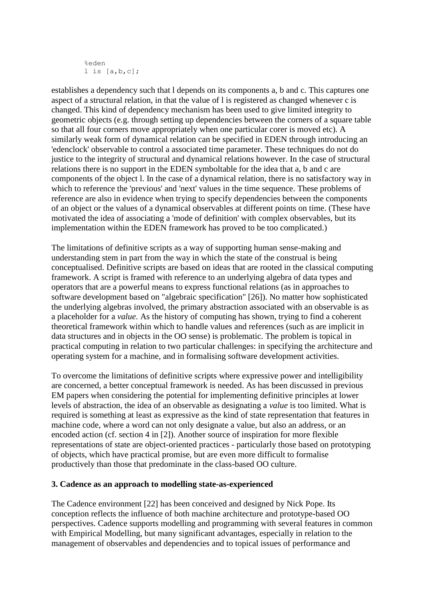```
%eden
l is [a,b,c];
```
establishes a dependency such that l depends on its components a, b and c. This captures one aspect of a structural relation, in that the value of l is registered as changed whenever c is changed. This kind of dependency mechanism has been used to give limited integrity to geometric objects (e.g. through setting up dependencies between the corners of a square table so that all four corners move appropriately when one particular corer is moved etc). A similarly weak form of dynamical relation can be specified in EDEN through introducing an 'edenclock' observable to control a associated time parameter. These techniques do not do justice to the integrity of structural and dynamical relations however. In the case of structural relations there is no support in the EDEN symboltable for the idea that a, b and c are components of the object l. In the case of a dynamical relation, there is no satisfactory way in which to reference the 'previous' and 'next' values in the time sequence. These problems of reference are also in evidence when trying to specify dependencies between the components of an object or the values of a dynamical observables at different points on time. (These have motivated the idea of associating a 'mode of definition' with complex observables, but its implementation within the EDEN framework has proved to be too complicated.)

The limitations of definitive scripts as a way of supporting human sense-making and understanding stem in part from the way in which the state of the construal is being conceptualised. Definitive scripts are based on ideas that are rooted in the classical computing framework. A script is framed with reference to an underlying algebra of data types and operators that are a powerful means to express functional relations (as in approaches to software development based on "algebraic specification" [26]). No matter how sophisticated the underlying algebras involved, the primary abstraction associated with an observable is as a placeholder for a *value*. As the history of computing has shown, trying to find a coherent theoretical framework within which to handle values and references (such as are implicit in data structures and in objects in the OO sense) is problematic. The problem is topical in practical computing in relation to two particular challenges: in specifying the architecture and operating system for a machine, and in formalising software development activities.

To overcome the limitations of definitive scripts where expressive power and intelligibility are concerned, a better conceptual framework is needed. As has been discussed in previous EM papers when considering the potential for implementing definitive principles at lower levels of abstraction, the idea of an observable as designating a *value* is too limited. What is required is something at least as expressive as the kind of state representation that features in machine code, where a word can not only designate a value, but also an address, or an encoded action (cf. section 4 in [2]). Another source of inspiration for more flexible representations of state are object-oriented practices - particularly those based on prototyping of objects, which have practical promise, but are even more difficult to formalise productively than those that predominate in the class-based OO culture.

## **3. Cadence as an approach to modelling state-as-experienced**

The Cadence environment [22] has been conceived and designed by Nick Pope. Its conception reflects the influence of both machine architecture and prototype-based OO perspectives. Cadence supports modelling and programming with several features in common with Empirical Modelling, but many significant advantages, especially in relation to the management of observables and dependencies and to topical issues of performance and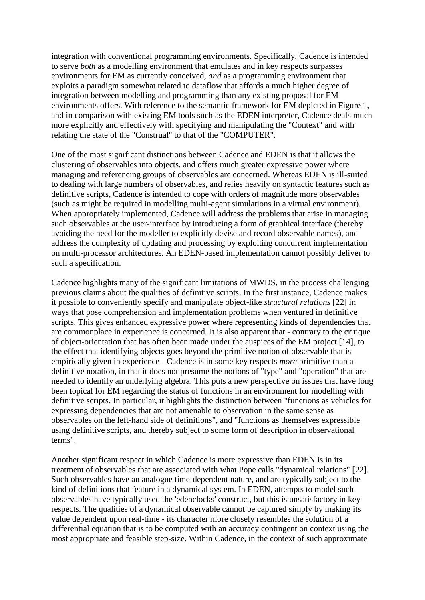integration with conventional programming environments. Specifically, Cadence is intended to serve *both* as a modelling environment that emulates and in key respects surpasses environments for EM as currently conceived, *and* as a programming environment that exploits a paradigm somewhat related to dataflow that affords a much higher degree of integration between modelling and programming than any existing proposal for EM environments offers. With reference to the semantic framework for EM depicted in Figure 1, and in comparison with existing EM tools such as the EDEN interpreter, Cadence deals much more explicitly and effectively with specifying and manipulating the "Context" and with relating the state of the "Construal" to that of the "COMPUTER".

One of the most significant distinctions between Cadence and EDEN is that it allows the clustering of observables into objects, and offers much greater expressive power where managing and referencing groups of observables are concerned. Whereas EDEN is ill-suited to dealing with large numbers of observables, and relies heavily on syntactic features such as definitive scripts, Cadence is intended to cope with orders of magnitude more observables (such as might be required in modelling multi-agent simulations in a virtual environment). When appropriately implemented, Cadence will address the problems that arise in managing such observables at the user-interface by introducing a form of graphical interface (thereby avoiding the need for the modeller to explicitly devise and record observable names), and address the complexity of updating and processing by exploiting concurrent implementation on multi-processor architectures. An EDEN-based implementation cannot possibly deliver to such a specification.

Cadence highlights many of the significant limitations of MWDS, in the process challenging previous claims about the qualities of definitive scripts. In the first instance, Cadence makes it possible to conveniently specify and manipulate object-like *structural relations* [22] in ways that pose comprehension and implementation problems when ventured in definitive scripts. This gives enhanced expressive power where representing kinds of dependencies that are commonplace in experience is concerned. It is also apparent that - contrary to the critique of object-orientation that has often been made under the auspices of the EM project [14], to the effect that identifying objects goes beyond the primitive notion of observable that is empirically given in experience - Cadence is in some key respects *more* primitive than a definitive notation, in that it does not presume the notions of "type" and "operation" that are needed to identify an underlying algebra. This puts a new perspective on issues that have long been topical for EM regarding the status of functions in an environment for modelling with definitive scripts. In particular, it highlights the distinction between "functions as vehicles for expressing dependencies that are not amenable to observation in the same sense as observables on the left-hand side of definitions", and "functions as themselves expressible using definitive scripts, and thereby subject to some form of description in observational terms".

Another significant respect in which Cadence is more expressive than EDEN is in its treatment of observables that are associated with what Pope calls "dynamical relations" [22]. Such observables have an analogue time-dependent nature, and are typically subject to the kind of definitions that feature in a dynamical system. In EDEN, attempts to model such observables have typically used the 'edenclocks' construct, but this is unsatisfactory in key respects. The qualities of a dynamical observable cannot be captured simply by making its value dependent upon real-time - its character more closely resembles the solution of a differential equation that is to be computed with an accuracy contingent on context using the most appropriate and feasible step-size. Within Cadence, in the context of such approximate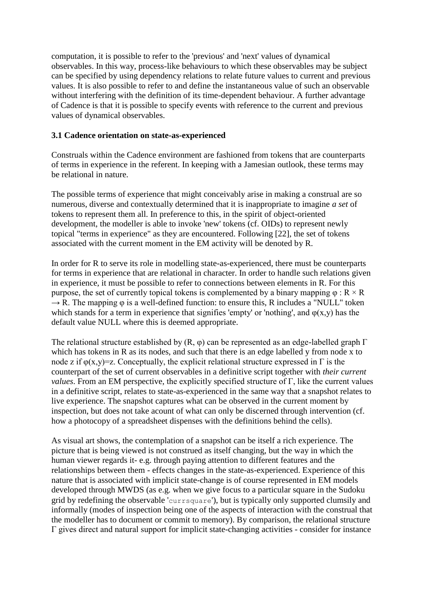computation, it is possible to refer to the 'previous' and 'next' values of dynamical observables. In this way, process-like behaviours to which these observables may be subject can be specified by using dependency relations to relate future values to current and previous values. It is also possible to refer to and define the instantaneous value of such an observable without interfering with the definition of its time-dependent behaviour. A further advantage of Cadence is that it is possible to specify events with reference to the current and previous values of dynamical observables.

### **3.1 Cadence orientation on state-as-experienced**

Construals within the Cadence environment are fashioned from tokens that are counterparts of terms in experience in the referent. In keeping with a Jamesian outlook, these terms may be relational in nature.

The possible terms of experience that might conceivably arise in making a construal are so numerous, diverse and contextually determined that it is inappropriate to imagine *a set* of tokens to represent them all. In preference to this, in the spirit of object-oriented development, the modeller is able to invoke 'new' tokens (cf. OIDs) to represent newly topical "terms in experience" as they are encountered. Following [22], the set of tokens associated with the current moment in the EM activity will be denoted by R.

In order for R to serve its role in modelling state-as-experienced, there must be counterparts for terms in experience that are relational in character. In order to handle such relations given in experience, it must be possible to refer to connections between elements in R. For this purpose, the set of currently topical tokens is complemented by a binary mapping  $\varphi$  :  $R \times R$  $\rightarrow$  R. The mapping  $\varphi$  is a well-defined function: to ensure this, R includes a "NULL" token which stands for a term in experience that signifies 'empty' or 'nothing', and  $\varphi(x,y)$  has the default value NULL where this is deemed appropriate.

The relational structure established by  $(R, \varphi)$  can be represented as an edge-labelled graph  $\Gamma$ which has tokens in R as its nodes, and such that there is an edge labelled y from node x to node z if  $\varphi(x,y)=z$ . Conceptually, the explicit relational structure expressed in  $\Gamma$  is the counterpart of the set of current observables in a definitive script together with *their current values*. From an EM perspective, the explicitly specified structure of Γ, like the current values in a definitive script, relates to state-as-experienced in the same way that a snapshot relates to live experience. The snapshot captures what can be observed in the current moment by inspection, but does not take acount of what can only be discerned through intervention (cf. how a photocopy of a spreadsheet dispenses with the definitions behind the cells).

As visual art shows, the contemplation of a snapshot can be itself a rich experience. The picture that is being viewed is not construed as itself changing, but the way in which the human viewer regards it- e.g. through paying attention to different features and the relationships between them - effects changes in the state-as-experienced. Experience of this nature that is associated with implicit state-change is of course represented in EM models developed through MWDS (as e.g. when we give focus to a particular square in the Sudoku grid by redefining the observable 'currsquare'), but is typically only supported clumsily and informally (modes of inspection being one of the aspects of interaction with the construal that the modeller has to document or commit to memory). By comparison, the relational structure Γ gives direct and natural support for implicit state-changing activities - consider for instance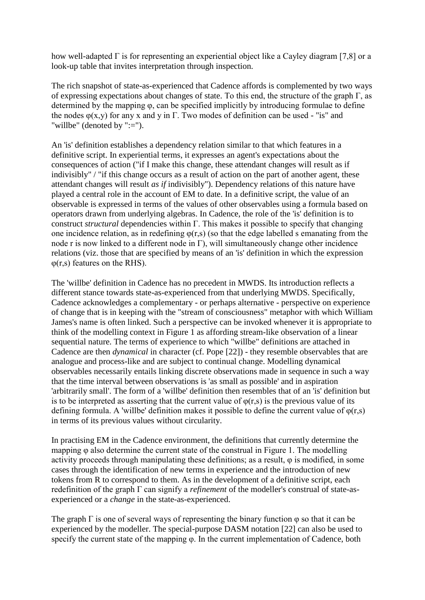how well-adapted  $\Gamma$  is for representing an experiential object like a Cayley diagram [7,8] or a look-up table that invites interpretation through inspection.

The rich snapshot of state-as-experienced that Cadence affords is complemented by two ways of expressing expectations about changes of state. To this end, the structure of the graph Γ, as determined by the mapping φ, can be specified implicitly by introducing formulae to define the nodes  $\varphi(x, y)$  for any x and y in Γ. Two modes of definition can be used - "is" and "willbe" (denoted by ":=").

An 'is' definition establishes a dependency relation similar to that which features in a definitive script. In experiential terms, it expresses an agent's expectations about the consequences of action ("if I make this change, these attendant changes will result as if indivisibly" / "if this change occurs as a result of action on the part of another agent, these attendant changes will result *as if* indivisibly"). Dependency relations of this nature have played a central role in the account of EM to date. In a definitive script, the value of an observable is expressed in terms of the values of other observables using a formula based on operators drawn from underlying algebras. In Cadence, the role of the 'is' definition is to construct *structural* dependencies within Γ. This makes it possible to specify that changing one incidence relation, as in redefining  $\varphi(r,s)$  (so that the edge labelled s emanating from the node r is now linked to a different node in Γ), will simultaneously change other incidence relations (viz. those that are specified by means of an 'is' definition in which the expression  $\varphi(r,s)$  features on the RHS).

The 'willbe' definition in Cadence has no precedent in MWDS. Its introduction reflects a different stance towards state-as-experienced from that underlying MWDS. Specifically, Cadence acknowledges a complementary - or perhaps alternative - perspective on experience of change that is in keeping with the "stream of consciousness" metaphor with which William James's name is often linked. Such a perspective can be invoked whenever it is appropriate to think of the modelling context in Figure 1 as affording stream-like observation of a linear sequential nature. The terms of experience to which "willbe" definitions are attached in Cadence are then *dynamical* in character (cf. Pope [22]) - they resemble observables that are analogue and process-like and are subject to continual change. Modelling dynamical observables necessarily entails linking discrete observations made in sequence in such a way that the time interval between observations is 'as small as possible' and in aspiration 'arbitrarily small'. The form of a 'willbe' definition then resembles that of an 'is' definition but is to be interpreted as asserting that the current value of  $\varphi(r,s)$  is the previous value of its defining formula. A 'willbe' definition makes it possible to define the current value of  $\varphi(r,s)$ in terms of its previous values without circularity.

In practising EM in the Cadence environment, the definitions that currently determine the mapping φ also determine the current state of the construal in Figure 1. The modelling activity proceeds through manipulating these definitions; as a result, φ is modified, in some cases through the identification of new terms in experience and the introduction of new tokens from R to correspond to them. As in the development of a definitive script, each redefinition of the graph Γ can signify a *refinement* of the modeller's construal of state-asexperienced or a *change* in the state-as-experienced.

The graph  $\Gamma$  is one of several ways of representing the binary function  $\varphi$  so that it can be experienced by the modeller. The special-purpose DASM notation [22] can also be used to specify the current state of the mapping φ. In the current implementation of Cadence, both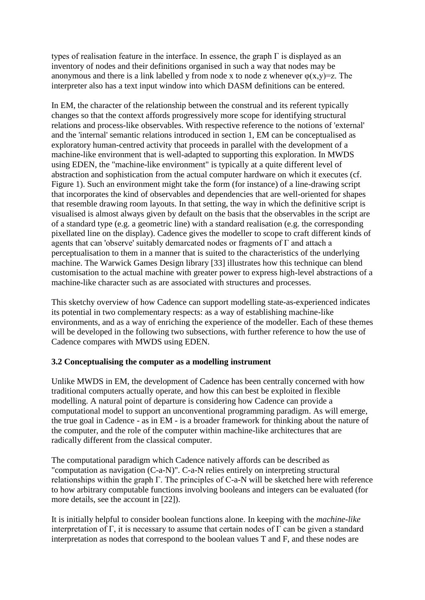types of realisation feature in the interface. In essence, the graph Γ is displayed as an inventory of nodes and their definitions organised in such a way that nodes may be anonymous and there is a link labelled y from node x to node z whenever  $\varphi(x,y)=z$ . The interpreter also has a text input window into which DASM definitions can be entered.

In EM, the character of the relationship between the construal and its referent typically changes so that the context affords progressively more scope for identifying structural relations and process-like observables. With respective reference to the notions of 'external' and the 'internal' semantic relations introduced in section 1, EM can be conceptualised as exploratory human-centred activity that proceeds in parallel with the development of a machine-like environment that is well-adapted to supporting this exploration. In MWDS using EDEN, the "machine-like environment" is typically at a quite different level of abstraction and sophistication from the actual computer hardware on which it executes (cf. Figure 1). Such an environment might take the form (for instance) of a line-drawing script that incorporates the kind of observables and dependencies that are well-oriented for shapes that resemble drawing room layouts. In that setting, the way in which the definitive script is visualised is almost always given by default on the basis that the observables in the script are of a standard type (e.g. a geometric line) with a standard realisation (e.g. the corresponding pixellated line on the display). Cadence gives the modeller to scope to craft different kinds of agents that can 'observe' suitably demarcated nodes or fragments of Γ and attach a perceptualisation to them in a manner that is suited to the characteristics of the underlying machine. The Warwick Games Design library [33] illustrates how this technique can blend customisation to the actual machine with greater power to express high-level abstractions of a machine-like character such as are associated with structures and processes.

This sketchy overview of how Cadence can support modelling state-as-experienced indicates its potential in two complementary respects: as a way of establishing machine-like environments, and as a way of enriching the experience of the modeller. Each of these themes will be developed in the following two subsections, with further reference to how the use of Cadence compares with MWDS using EDEN.

## **3.2 Conceptualising the computer as a modelling instrument**

Unlike MWDS in EM, the development of Cadence has been centrally concerned with how traditional computers actually operate, and how this can best be exploited in flexible modelling. A natural point of departure is considering how Cadence can provide a computational model to support an unconventional programming paradigm. As will emerge, the true goal in Cadence - as in EM - is a broader framework for thinking about the nature of the computer, and the role of the computer within machine-like architectures that are radically different from the classical computer.

The computational paradigm which Cadence natively affords can be described as "computation as navigation (C-a-N)". C-a-N relies entirely on interpreting structural relationships within the graph Γ. The principles of C-a-N will be sketched here with reference to how arbitrary computable functions involving booleans and integers can be evaluated (for more details, see the account in [22]).

It is initially helpful to consider boolean functions alone. In keeping with the *machine-like* interpretation of Γ, it is necessary to assume that certain nodes of Γ can be given a standard interpretation as nodes that correspond to the boolean values T and F, and these nodes are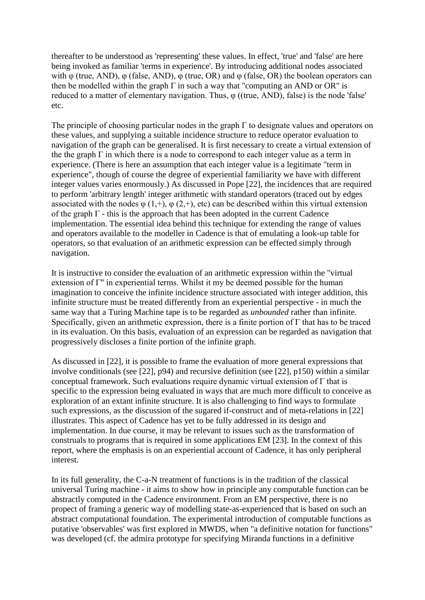thereafter to be understood as 'representing' these values. In effect, 'true' and 'false' are here being invoked as familiar 'terms in experience'. By introducing additional nodes associated with φ (true, AND), φ (false, AND), φ (true, OR) and φ (false, OR) the boolean operators can then be modelled within the graph  $\Gamma$  in such a way that "computing an AND or OR" is reduced to a matter of elementary navigation. Thus, φ ((true, AND), false) is the node 'false' etc.

The principle of choosing particular nodes in the graph  $\Gamma$  to designate values and operators on these values, and supplying a suitable incidence structure to reduce operator evaluation to navigation of the graph can be generalised. It is first necessary to create a virtual extension of the the graph  $\Gamma$  in which there is a node to correspond to each integer value as a term in experience. (There is here an assumption that each integer value is a legitimate "term in experience", though of course the degree of experiential familiarity we have with different integer values varies enormously.) As discussed in Pope [22], the incidences that are required to perform 'arbitrary length' integer arithmetic with standard operators (traced out by edges associated with the nodes  $\varphi$  (1,+),  $\varphi$  (2,+), etc) can be described within this virtual extension of the graph  $\Gamma$  - this is the approach that has been adopted in the current Cadence implementation. The essential idea behind this technique for extending the range of values and operators available to the modeller in Cadence is that of emulating a look-up table for operators, so that evaluation of an arithmetic expression can be effected simply through navigation.

It is instructive to consider the evaluation of an arithmetic expression within the "virtual extension of Γ" in experiential terms. Whilst it my be deemed possible for the human imagination to conceive the infinite incidence structure associated with integer addition, this infinite structure must be treated differently from an experiential perspective - in much the same way that a Turing Machine tape is to be regarded as *unbounded* rather than infinite. Specifically, given an arithmetic expression, there is a finite portion of Γ that has to be traced in its evaluation. On this basis, evaluation of an expression can be regarded as navigation that progressively discloses a finite portion of the infinite graph.

As discussed in [22], it is possible to frame the evaluation of more general expressions that involve conditionals (see [22], p94) and recursive definition (see [22], p150) within a similar conceptual framework. Such evaluations require dynamic virtual extension of Γ that is specific to the expression being evaluated in ways that are much more difficult to conceive as exploration of an extant infinite structure. It is also challenging to find ways to formulate such expressions, as the discussion of the sugared if-construct and of meta-relations in [22] illustrates. This aspect of Cadence has yet to be fully addressed in its design and implementation. In due course, it may be relevant to issues such as the transformation of construals to programs that is required in some applications EM [23]. In the context of this report, where the emphasis is on an experiential account of Cadence, it has only peripheral interest.

In its full generality, the C-a-N treatment of functions is in the tradition of the classical universal Turing machine - it aims to show how in principle any computable function can be abstractly computed in the Cadence environment. From an EM perspective, there is no propect of framing a generic way of modelling state-as-experienced that is based on such an abstract computational foundation. The experimental introduction of computable functions as putative 'observables' was first explored in MWDS, when "a definitive notation for functions" was developed (cf. the admira prototype for specifying Miranda functions in a definitive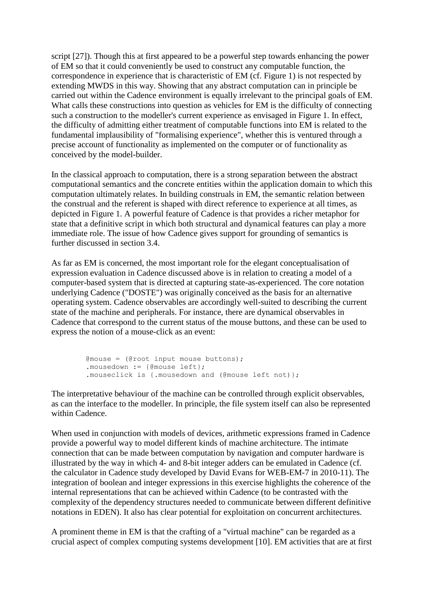script [27]). Though this at first appeared to be a powerful step towards enhancing the power of EM so that it could conveniently be used to construct any computable function, the correspondence in experience that is characteristic of EM (cf. Figure 1) is not respected by extending MWDS in this way. Showing that any abstract computation can in principle be carried out within the Cadence environment is equally irrelevant to the principal goals of EM. What calls these constructions into question as vehicles for EM is the difficulty of connecting such a construction to the modeller's current experience as envisaged in Figure 1. In effect, the difficulty of admitting either treatment of computable functions into EM is related to the fundamental implausibility of "formalising experience", whether this is ventured through a precise account of functionality as implemented on the computer or of functionality as conceived by the model-builder.

In the classical approach to computation, there is a strong separation between the abstract computational semantics and the concrete entities within the application domain to which this computation ultimately relates. In building construals in EM, the semantic relation between the construal and the referent is shaped with direct reference to experience at all times, as depicted in Figure 1. A powerful feature of Cadence is that provides a richer metaphor for state that a definitive script in which both structural and dynamical features can play a more immediate role. The issue of how Cadence gives support for grounding of semantics is further discussed in section 3.4.

As far as EM is concerned, the most important role for the elegant conceptualisation of expression evaluation in Cadence discussed above is in relation to creating a model of a computer-based system that is directed at capturing state-as-experienced. The core notation underlying Cadence ("DOSTE") was originally conceived as the basis for an alternative operating system. Cadence observables are accordingly well-suited to describing the current state of the machine and peripherals. For instance, there are dynamical observables in Cadence that correspond to the current status of the mouse buttons, and these can be used to express the notion of a mouse-click as an event:

```
 @mouse = (@root input mouse buttons);
 .mousedown := {@mouse left};
 .mouseclick is {.mousedown and (@mouse left not)};
```
The interpretative behaviour of the machine can be controlled through explicit observables, as can the interface to the modeller. In principle, the file system itself can also be represented within Cadence.

When used in conjunction with models of devices, arithmetic expressions framed in Cadence provide a powerful way to model different kinds of machine architecture. The intimate connection that can be made between computation by navigation and computer hardware is illustrated by the way in which 4- and 8-bit integer adders can be emulated in Cadence (cf. the calculator in Cadence study developed by David Evans for WEB-EM-7 in 2010-11). The integration of boolean and integer expressions in this exercise highlights the coherence of the internal representations that can be achieved within Cadence (to be contrasted with the complexity of the dependency structures needed to communicate between different definitive notations in EDEN). It also has clear potential for exploitation on concurrent architectures.

A prominent theme in EM is that the crafting of a "virtual machine" can be regarded as a crucial aspect of complex computing systems development [10]. EM activities that are at first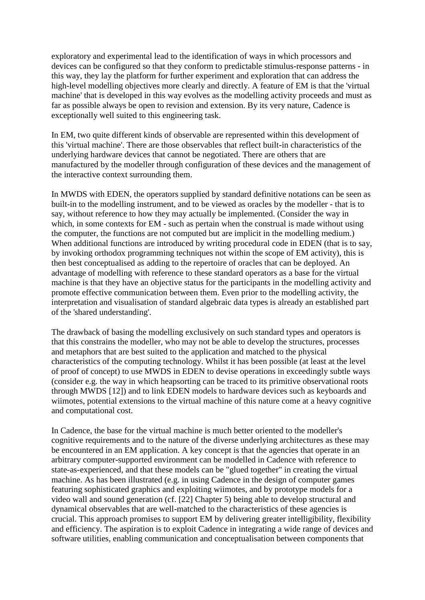exploratory and experimental lead to the identification of ways in which processors and devices can be configured so that they conform to predictable stimulus-response patterns - in this way, they lay the platform for further experiment and exploration that can address the high-level modelling objectives more clearly and directly. A feature of EM is that the 'virtual machine' that is developed in this way evolves as the modelling activity proceeds and must as far as possible always be open to revision and extension. By its very nature, Cadence is exceptionally well suited to this engineering task.

In EM, two quite different kinds of observable are represented within this development of this 'virtual machine'. There are those observables that reflect built-in characteristics of the underlying hardware devices that cannot be negotiated. There are others that are manufactured by the modeller through configuration of these devices and the management of the interactive context surrounding them.

In MWDS with EDEN, the operators supplied by standard definitive notations can be seen as built-in to the modelling instrument, and to be viewed as oracles by the modeller - that is to say, without reference to how they may actually be implemented. (Consider the way in which, in some contexts for EM - such as pertain when the construal is made without using the computer, the functions are not computed but are implicit in the modelling medium.) When additional functions are introduced by writing procedural code in EDEN (that is to say, by invoking orthodox programming techniques not within the scope of EM activity), this is then best conceptualised as adding to the repertoire of oracles that can be deployed. An advantage of modelling with reference to these standard operators as a base for the virtual machine is that they have an objective status for the participants in the modelling activity and promote effective communication between them. Even prior to the modelling activity, the interpretation and visualisation of standard algebraic data types is already an established part of the 'shared understanding'.

The drawback of basing the modelling exclusively on such standard types and operators is that this constrains the modeller, who may not be able to develop the structures, processes and metaphors that are best suited to the application and matched to the physical characteristics of the computing technology. Whilst it has been possible (at least at the level of proof of concept) to use MWDS in EDEN to devise operations in exceedingly subtle ways (consider e.g. the way in which heapsorting can be traced to its primitive observational roots through MWDS [12]) and to link EDEN models to hardware devices such as keyboards and wiimotes, potential extensions to the virtual machine of this nature come at a heavy cognitive and computational cost.

In Cadence, the base for the virtual machine is much better oriented to the modeller's cognitive requirements and to the nature of the diverse underlying architectures as these may be encountered in an EM application. A key concept is that the agencies that operate in an arbitrary computer-supported environment can be modelled in Cadence with reference to state-as-experienced, and that these models can be "glued together" in creating the virtual machine. As has been illustrated (e.g. in using Cadence in the design of computer games featuring sophisticated graphics and exploiting wiimotes, and by prototype models for a video wall and sound generation (cf. [22] Chapter 5) being able to develop structural and dynamical observables that are well-matched to the characteristics of these agencies is crucial. This approach promises to support EM by delivering greater intelligibility, flexibility and efficiency. The aspiration is to exploit Cadence in integrating a wide range of devices and software utilities, enabling communication and conceptualisation between components that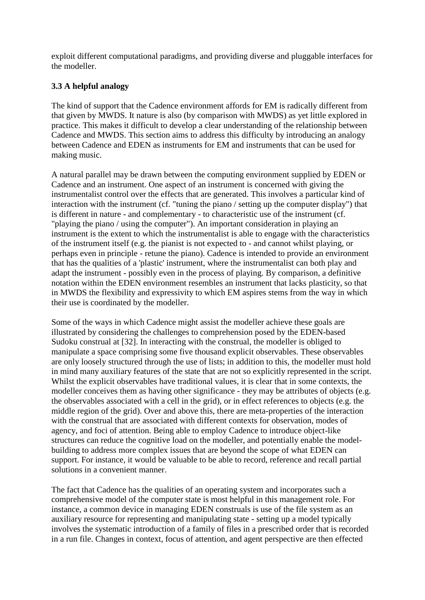exploit different computational paradigms, and providing diverse and pluggable interfaces for the modeller.

# **3.3 A helpful analogy**

The kind of support that the Cadence environment affords for EM is radically different from that given by MWDS. It nature is also (by comparison with MWDS) as yet little explored in practice. This makes it difficult to develop a clear understanding of the relationship between Cadence and MWDS. This section aims to address this difficulty by introducing an analogy between Cadence and EDEN as instruments for EM and instruments that can be used for making music.

A natural parallel may be drawn between the computing environment supplied by EDEN or Cadence and an instrument. One aspect of an instrument is concerned with giving the instrumentalist control over the effects that are generated. This involves a particular kind of interaction with the instrument (cf. "tuning the piano / setting up the computer display") that is different in nature - and complementary - to characteristic use of the instrument (cf. "playing the piano / using the computer"). An important consideration in playing an instrument is the extent to which the instrumentalist is able to engage with the characteristics of the instrument itself (e.g. the pianist is not expected to - and cannot whilst playing, or perhaps even in principle - retune the piano). Cadence is intended to provide an environment that has the qualities of a 'plastic' instrument, where the instrumentalist can both play and adapt the instrument - possibly even in the process of playing. By comparison, a definitive notation within the EDEN environment resembles an instrument that lacks plasticity, so that in MWDS the flexibility and expressivity to which EM aspires stems from the way in which their use is coordinated by the modeller.

Some of the ways in which Cadence might assist the modeller achieve these goals are illustrated by considering the challenges to comprehension posed by the EDEN-based Sudoku construal at [32]. In interacting with the construal, the modeller is obliged to manipulate a space comprising some five thousand explicit observables. These observables are only loosely structured through the use of lists; in addition to this, the modeller must hold in mind many auxiliary features of the state that are not so explicitly represented in the script. Whilst the explicit observables have traditional values, it is clear that in some contexts, the modeller conceives them as having other significance - they may be attributes of objects (e.g. the observables associated with a cell in the grid), or in effect references to objects (e.g. the middle region of the grid). Over and above this, there are meta-properties of the interaction with the construal that are associated with different contexts for observation, modes of agency, and foci of attention. Being able to employ Cadence to introduce object-like structures can reduce the cognitive load on the modeller, and potentially enable the modelbuilding to address more complex issues that are beyond the scope of what EDEN can support. For instance, it would be valuable to be able to record, reference and recall partial solutions in a convenient manner.

The fact that Cadence has the qualities of an operating system and incorporates such a comprehensive model of the computer state is most helpful in this management role. For instance, a common device in managing EDEN construals is use of the file system as an auxiliary resource for representing and manipulating state - setting up a model typically involves the systematic introduction of a family of files in a prescribed order that is recorded in a run file. Changes in context, focus of attention, and agent perspective are then effected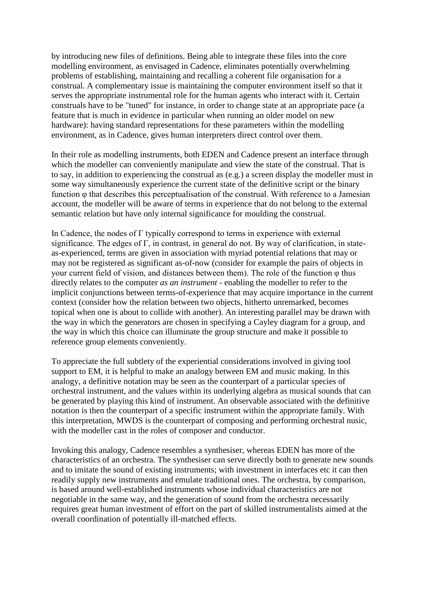by introducing new files of definitions. Being able to integrate these files into the core modelling environment, as envisaged in Cadence, eliminates potentially overwhelming problems of establishing, maintaining and recalling a coherent file organisation for a construal. A complementary issue is maintaining the computer environment itself so that it serves the appropriate instrumental role for the human agents who interact with it. Certain construals have to be "tuned" for instance, in order to change state at an appropriate pace (a feature that is much in evidence in particular when running an older model on new hardware): having standard representations for these parameters within the modelling environment, as in Cadence, gives human interpreters direct control over them.

In their role as modelling instruments, both EDEN and Cadence present an interface through which the modeller can conveniently manipulate and view the state of the construal. That is to say, in addition to experiencing the construal as (e.g.) a screen display the modeller must in some way simultaneously experience the current state of the definitive script or the binary function φ that describes this perceptualisation of the construal. With reference to a Jamesian account, the modeller will be aware of terms in experience that do not belong to the external semantic relation but have only internal significance for moulding the construal.

In Cadence, the nodes of Γ typically correspond to terms in experience with external significance. The edges of Γ, in contrast, in general do not. By way of clarification, in stateas-experienced, terms are given in association with myriad potential relations that may or may not be registered as significant as-of-now (consider for example the pairs of objects in your current field of vision, and distances between them). The role of the function φ thus directly relates to the computer *as an instrument* - enabling the modeller to refer to the implicit conjunctions between terms-of-experience that may acquire importance in the current context (consider how the relation between two objects, hitherto unremarked, becomes topical when one is about to collide with another). An interesting parallel may be drawn with the way in which the generators are chosen in specifying a Cayley diagram for a group, and the way in which this choice can illuminate the group structure and make it possible to reference group elements conveniently.

To appreciate the full subtlety of the experiential considerations involved in giving tool support to EM, it is helpful to make an analogy between EM and music making. In this analogy, a definitive notation may be seen as the counterpart of a particular species of orchestral instrument, and the values within its underlying algebra as musical sounds that can be generated by playing this kind of instrument. An observable associated with the definitive notation is then the counterpart of a specific instrument within the appropriate family. With this interpretation, MWDS is the counterpart of composing and performing orchestral nusic, with the modeller cast in the roles of composer and conductor.

Invoking this analogy, Cadence resembles a synthesiser, whereas EDEN has more of the characteristics of an orchestra. The synthesiser can serve directly both to generate new sounds and to imitate the sound of existing instruments; with investment in interfaces etc it can then readily supply new instruments and emulate traditional ones. The orchestra, by comparison, is based around well-established instruments whose individual characteristics are not negotiable in the same way, and the generation of sound from the orchestra necessarily requires great human investment of effort on the part of skilled instrumentalists aimed at the overall coordination of potentially ill-matched effects.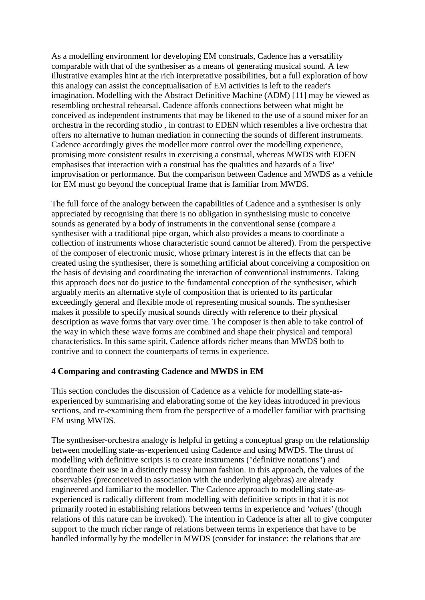As a modelling environment for developing EM construals, Cadence has a versatility comparable with that of the synthesiser as a means of generating musical sound. A few illustrative examples hint at the rich interpretative possibilities, but a full exploration of how this analogy can assist the conceptualisation of EM activities is left to the reader's imagination. Modelling with the Abstract Definitive Machine (ADM) [11] may be viewed as resembling orchestral rehearsal. Cadence affords connections between what might be conceived as independent instruments that may be likened to the use of a sound mixer for an orchestra in the recording studio , in contrast to EDEN which resembles a live orchestra that offers no alternative to human mediation in connecting the sounds of different instruments. Cadence accordingly gives the modeller more control over the modelling experience, promising more consistent results in exercising a construal, whereas MWDS with EDEN emphasises that interaction with a construal has the qualities and hazards of a 'live' improvisation or performance. But the comparison between Cadence and MWDS as a vehicle for EM must go beyond the conceptual frame that is familiar from MWDS.

The full force of the analogy between the capabilities of Cadence and a synthesiser is only appreciated by recognising that there is no obligation in synthesising music to conceive sounds as generated by a body of instruments in the conventional sense (compare a synthesiser with a traditional pipe organ, which also provides a means to coordinate a collection of instruments whose characteristic sound cannot be altered). From the perspective of the composer of electronic music, whose primary interest is in the effects that can be created using the synthesiser, there is something artificial about conceiving a composition on the basis of devising and coordinating the interaction of conventional instruments. Taking this approach does not do justice to the fundamental conception of the synthesiser, which arguably merits an alternative style of composition that is oriented to its particular exceedingly general and flexible mode of representing musical sounds. The synthesiser makes it possible to specify musical sounds directly with reference to their physical description as wave forms that vary over time. The composer is then able to take control of the way in which these wave forms are combined and shape their physical and temporal characteristics. In this same spirit, Cadence affords richer means than MWDS both to contrive and to connect the counterparts of terms in experience.

## **4 Comparing and contrasting Cadence and MWDS in EM**

This section concludes the discussion of Cadence as a vehicle for modelling state-asexperienced by summarising and elaborating some of the key ideas introduced in previous sections, and re-examining them from the perspective of a modeller familiar with practising EM using MWDS.

The synthesiser-orchestra analogy is helpful in getting a conceptual grasp on the relationship between modelling state-as-experienced using Cadence and using MWDS. The thrust of modelling with definitive scripts is to create instruments ("definitive notations") and coordinate their use in a distinctly messy human fashion. In this approach, the values of the observables (preconceived in association with the underlying algebras) are already engineered and familiar to the modeller. The Cadence approach to modelling state-asexperienced is radically different from modelling with definitive scripts in that it is not primarily rooted in establishing relations between terms in experience and *'values'* (though relations of this nature can be invoked). The intention in Cadence is after all to give computer support to the much richer range of relations between terms in experience that have to be handled informally by the modeller in MWDS (consider for instance: the relations that are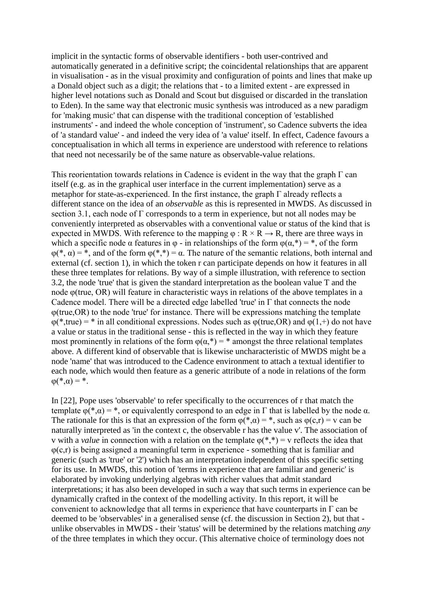implicit in the syntactic forms of observable identifiers - both user-contrived and automatically generated in a definitive script; the coincidental relationships that are apparent in visualisation - as in the visual proximity and configuration of points and lines that make up a Donald object such as a digit; the relations that - to a limited extent - are expressed in higher level notations such as Donald and Scout but disguised or discarded in the translation to Eden). In the same way that electronic music synthesis was introduced as a new paradigm for 'making music' that can dispense with the traditional conception of 'established instruments' - and indeed the whole conception of 'instrument', so Cadence subverts the idea of 'a standard value' - and indeed the very idea of 'a value' itself. In effect, Cadence favours a conceptualisation in which all terms in experience are understood with reference to relations that need not necessarily be of the same nature as observable-value relations.

This reorientation towards relations in Cadence is evident in the way that the graph  $\Gamma$  can itself (e.g. as in the graphical user interface in the current implementation) serve as a metaphor for state-as-experienced. In the first instance, the graph  $\Gamma$  already reflects a different stance on the idea of an *observable* as this is represented in MWDS. As discussed in section 3.1, each node of Γ corresponds to a term in experience, but not all nodes may be conveniently interpreted as observables with a conventional value or status of the kind that is expected in MWDS. With reference to the mapping  $\varphi$  :  $R \times R \rightarrow R$ , there are three ways in which a specific node  $\alpha$  features in  $\varphi$  - in relationships of the form  $\varphi(\alpha,*) = *$ , of the form  $\varphi(*, \alpha) = *,$  and of the form  $\varphi(*, *) = \alpha$ . The nature of the semantic relations, both internal and external (cf. section 1), in which the token r can participate depends on how it features in all these three templates for relations. By way of a simple illustration, with reference to section 3.2, the node 'true' that is given the standard interpretation as the boolean value T and the node φ(true, OR) will feature in characteristic ways in relations of the above templates in a Cadence model. There will be a directed edge labelled 'true' in Γ that connects the node φ(true,OR) to the node 'true' for instance. There will be expressions matching the template  $\varphi$ (\*,true) = \* in all conditional expressions. Nodes such as  $\varphi$ (true,OR) and  $\varphi$ (1,+) do not have a value or status in the traditional sense - this is reflected in the way in which they feature most prominently in relations of the form  $\varphi(\alpha,*) = *$  amongst the three relational templates above. A different kind of observable that is likewise uncharacteristic of MWDS might be a node 'name' that was introduced to the Cadence environment to attach a textual identifier to each node, which would then feature as a generic attribute of a node in relations of the form  $\varphi(*, \alpha) = *$ .

In [22], Pope uses 'observable' to refer specifically to the occurrences of r that match the template  $\varphi(*, \alpha) = *$ , or equivalently correspond to an edge in Γ that is labelled by the node  $\alpha$ . The rationale for this is that an expression of the form  $\varphi(*, \alpha) = *,$  such as  $\varphi(c,r) = v$  can be naturally interpreted as 'in the context c, the observable r has the value v'. The association of v with a *value* in connection with a relation on the template  $\varphi(*,*) = v$  reflects the idea that  $\varphi(c,r)$  is being assigned a meaningful term in experience - something that is familiar and generic (such as 'true' or '2') which has an interpretation independent of this specific setting for its use. In MWDS, this notion of 'terms in experience that are familiar and generic' is elaborated by invoking underlying algebras with richer values that admit standard interpretations; it has also been developed in such a way that such terms in experience can be dynamically crafted in the context of the modelling activity. In this report, it will be convenient to acknowledge that all terms in experience that have counterparts in  $\Gamma$  can be deemed to be 'observables' in a generalised sense (cf. the discussion in Section 2), but that unlike observables in MWDS - their 'status' will be determined by the relations matching *any* of the three templates in which they occur. (This alternative choice of terminology does not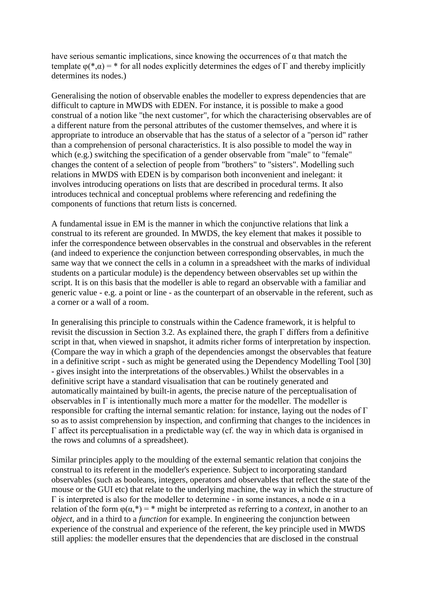have serious semantic implications, since knowing the occurrences of  $\alpha$  that match the template  $\varphi(*, \alpha) = *$  for all nodes explicitly determines the edges of  $\Gamma$  and thereby implicitly determines its nodes.)

Generalising the notion of observable enables the modeller to express dependencies that are difficult to capture in MWDS with EDEN. For instance, it is possible to make a good construal of a notion like "the next customer", for which the characterising observables are of a different nature from the personal attributes of the customer themselves, and where it is appropriate to introduce an observable that has the status of a selector of a "person id" rather than a comprehension of personal characteristics. It is also possible to model the way in which (e.g.) switching the specification of a gender observable from "male" to "female" changes the content of a selection of people from "brothers" to "sisters". Modelling such relations in MWDS with EDEN is by comparison both inconvenient and inelegant: it involves introducing operations on lists that are described in procedural terms. It also introduces technical and conceptual problems where referencing and redefining the components of functions that return lists is concerned.

A fundamental issue in EM is the manner in which the conjunctive relations that link a construal to its referent are grounded. In MWDS, the key element that makes it possible to infer the correspondence between observables in the construal and observables in the referent (and indeed to experience the conjunction between corresponding observables, in much the same way that we connect the cells in a column in a spreadsheet with the marks of individual students on a particular module) is the dependency between observables set up within the script. It is on this basis that the modeller is able to regard an observable with a familiar and generic value - e.g. a point or line - as the counterpart of an observable in the referent, such as a corner or a wall of a room.

In generalising this principle to construals within the Cadence framework, it is helpful to revisit the discussion in Section 3.2. As explained there, the graph Γ differs from a definitive script in that, when viewed in snapshot, it admits richer forms of interpretation by inspection. (Compare the way in which a graph of the dependencies amongst the observables that feature in a definitive script - such as might be generated using the Dependency Modelling Tool [30] - gives insight into the interpretations of the observables.) Whilst the observables in a definitive script have a standard visualisation that can be routinely generated and automatically maintained by built-in agents, the precise nature of the perceptualisation of observables in  $\Gamma$  is intentionally much more a matter for the modeller. The modeller is responsible for crafting the internal semantic relation: for instance, laying out the nodes of Γ so as to assist comprehension by inspection, and confirming that changes to the incidences in Γ affect its perceptualisation in a predictable way (cf. the way in which data is organised in the rows and columns of a spreadsheet).

Similar principles apply to the moulding of the external semantic relation that conjoins the construal to its referent in the modeller's experience. Subject to incorporating standard observables (such as booleans, integers, operators and observables that reflect the state of the mouse or the GUI etc) that relate to the underlying machine, the way in which the structure of  $Γ$  is interpreted is also for the modeller to determine - in some instances, a node  $α$  in a relation of the form  $\varphi(\alpha,*) = *$  might be interpreted as referring to a *context*, in another to an *object*, and in a third to a *function* for example. In engineering the conjunction between experience of the construal and experience of the referent, the key principle used in MWDS still applies: the modeller ensures that the dependencies that are disclosed in the construal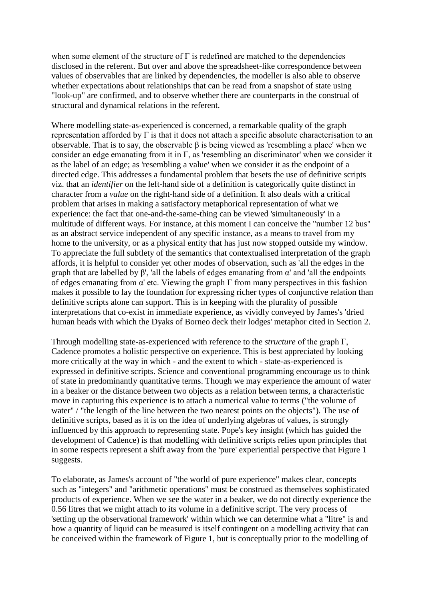when some element of the structure of  $\Gamma$  is redefined are matched to the dependencies disclosed in the referent. But over and above the spreadsheet-like correspondence between values of observables that are linked by dependencies, the modeller is also able to observe whether expectations about relationships that can be read from a snapshot of state using "look-up" are confirmed, and to observe whether there are counterparts in the construal of structural and dynamical relations in the referent.

Where modelling state-as-experienced is concerned, a remarkable quality of the graph representation afforded by  $\Gamma$  is that it does not attach a specific absolute characterisation to an observable. That is to say, the observable β is being viewed as 'resembling a place' when we consider an edge emanating from it in Γ, as 'resembling an discriminator' when we consider it as the label of an edge; as 'resembling a value' when we consider it as the endpoint of a directed edge. This addresses a fundamental problem that besets the use of definitive scripts viz. that an *identifier* on the left-hand side of a definition is categorically quite distinct in character from a *value* on the right-hand side of a definition. It also deals with a critical problem that arises in making a satisfactory metaphorical representation of what we experience: the fact that one-and-the-same-thing can be viewed 'simultaneously' in a multitude of different ways. For instance, at this moment I can conceive the "number 12 bus" as an abstract service independent of any specific instance, as a means to travel from my home to the university, or as a physical entity that has just now stopped outside my window. To appreciate the full subtlety of the semantics that contextualised interpretation of the graph affords, it is helpful to consider yet other modes of observation, such as 'all the edges in the graph that are labelled by  $\beta'$ , 'all the labels of edges emanating from  $\alpha'$  and 'all the endpoints of edges emanating from  $\alpha'$  etc. Viewing the graph  $\Gamma$  from many perspectives in this fashion makes it possible to lay the foundation for expressing richer types of conjunctive relation than definitive scripts alone can support. This is in keeping with the plurality of possible interpretations that co-exist in immediate experience, as vividly conveyed by James's 'dried human heads with which the Dyaks of Borneo deck their lodges' metaphor cited in Section 2.

Through modelling state-as-experienced with reference to the *structure* of the graph Γ, Cadence promotes a holistic perspective on experience. This is best appreciated by looking more critically at the way in which - and the extent to which - state-as-experienced is expressed in definitive scripts. Science and conventional programming encourage us to think of state in predominantly quantitative terms. Though we may experience the amount of water in a beaker or the distance between two objects as a relation between terms, a characteristic move in capturing this experience is to attach a numerical value to terms ("the volume of water" / "the length of the line between the two nearest points on the objects"). The use of definitive scripts, based as it is on the idea of underlying algebras of values, is strongly influenced by this approach to representing state. Pope's key insight (which has guided the development of Cadence) is that modelling with definitive scripts relies upon principles that in some respects represent a shift away from the 'pure' experiential perspective that Figure 1 suggests.

To elaborate, as James's account of "the world of pure experience" makes clear, concepts such as "integers" and "arithmetic operations" must be construed as themselves sophisticated products of experience. When we see the water in a beaker, we do not directly experience the 0.56 litres that we might attach to its volume in a definitive script. The very process of 'setting up the observational framework' within which we can determine what a "litre" is and how a quantity of liquid can be measured is itself contingent on a modelling activity that can be conceived within the framework of Figure 1, but is conceptually prior to the modelling of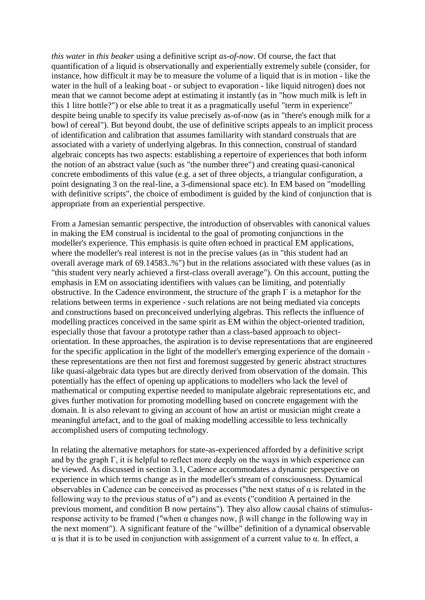*this water* in *this beaker* using a definitive script *as-of-now*. Of course, the fact that quantification of a liquid is observationally and experientially extremely subtle (consider, for instance, how difficult it may be to measure the volume of a liquid that is in motion - like the water in the hull of a leaking boat - or subject to evaporation - like liquid nitrogen) does not mean that we cannot become adept at estimating it instantly (as in "how much milk is left in this 1 litre bottle?") or else able to treat it as a pragmatically useful "term in experience" despite being unable to specify its value precisely as-of-now (as in "there's enough milk for a bowl of cereal"). But beyond doubt, the use of definitive scripts appeals to an implicit process of identification and calibration that assumes familiarity with standard construals that are associated with a variety of underlying algebras. In this connection, construal of standard algebraic concepts has two aspects: establishing a repertoire of experiences that both inform the notion of an abstract value (such as "the number three") and creating quasi-canonical concrete embodiments of this value (e.g. a set of three objects, a triangular configuration, a point designating 3 on the real-line, a 3-dimensional space etc). In EM based on "modelling with definitive scripts", the choice of embodiment is guided by the kind of conjunction that is appropriate from an experiential perspective.

From a Jamesian semantic perspective, the introduction of observables with canonical values in making the EM construal is incidental to the goal of promoting conjunctions in the modeller's experience. This emphasis is quite often echoed in practical EM applications, where the modeller's real interest is not in the precise values (as in "this student had an overall average mark of 69.14583..%") but in the relations associated with these values (as in "this student very nearly achieved a first-class overall average"). On this account, putting the emphasis in EM on associating identifiers with values can be limiting, and potentially obstructive. In the Cadence environment, the structure of the graph  $\Gamma$  is a metaphor for the relations between terms in experience - such relations are not being mediated via concepts and constructions based on preconceived underlying algebras. This reflects the influence of modelling practices conceived in the same spirit as EM within the object-oriented tradition, especially those that favour a prototype rather than a class-based approach to objectorientation. In these approaches, the aspiration is to devise representations that are engineered for the specific application in the light of the modeller's emerging experience of the domain these representations are then not first and foremost suggested by generic abstract structures like quasi-algebraic data types but are directly derived from observation of the domain. This potentially has the effect of opening up applications to modellers who lack the level of mathematical or computing expertise needed to manipulate algebraic representations etc, and gives further motivation for promoting modelling based on concrete engagement with the domain. It is also relevant to giving an account of how an artist or musician might create a meaningful artefact, and to the goal of making modelling accessible to less technically accomplished users of computing technology.

In relating the alternative metaphors for state-as-experienced afforded by a definitive script and by the graph  $\Gamma$ , it is helpful to reflect more deeply on the ways in which experience can be viewed. As discussed in section 3.1, Cadence accommodates a dynamic perspective on experience in which terms change as in the modeller's stream of consciousness. Dynamical observables in Cadence can be conceived as processes ("the next status of  $\alpha$  is related in the following way to the previous status of  $\alpha$ ") and as events ("condition A pertained in the previous moment, and condition B now pertains"). They also allow causal chains of stimulusresponse activity to be framed ("when α changes now, β will change in the following way in the next moment"). A significant feature of the "willbe" definition of a dynamical observable α is that it is to be used in conjunction with assignment of a current value to α. In effect, a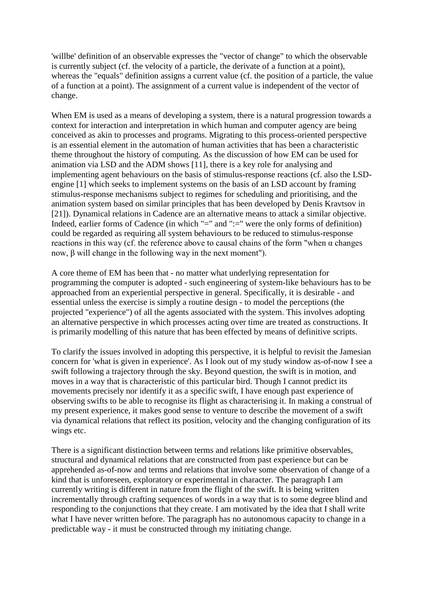'willbe' definition of an observable expresses the "vector of change" to which the observable is currently subject (cf. the velocity of a particle, the derivate of a function at a point), whereas the "equals" definition assigns a current value (cf. the position of a particle, the value of a function at a point). The assignment of a current value is independent of the vector of change.

When EM is used as a means of developing a system, there is a natural progression towards a context for interaction and interpretation in which human and computer agency are being conceived as akin to processes and programs. Migrating to this process-oriented perspective is an essential element in the automation of human activities that has been a characteristic theme throughout the history of computing. As the discussion of how EM can be used for animation via LSD and the ADM shows [11], there is a key role for analysing and implementing agent behaviours on the basis of stimulus-response reactions (cf. also the LSDengine [1] which seeks to implement systems on the basis of an LSD account by framing stimulus-response mechanisms subject to regimes for scheduling and prioritising, and the animation system based on similar principles that has been developed by Denis Kravtsov in [21]). Dynamical relations in Cadence are an alternative means to attack a similar objective. Indeed, earlier forms of Cadence (in which "=" and ":=" were the only forms of definition) could be regarded as requiring all system behaviours to be reduced to stimulus-response reactions in this way (cf. the reference above to causal chains of the form "when α changes now, β will change in the following way in the next moment").

A core theme of EM has been that - no matter what underlying representation for programming the computer is adopted - such engineering of system-like behaviours has to be approached from an experiential perspective in general. Specifically, it is desirable - and essential unless the exercise is simply a routine design - to model the perceptions (the projected "experience") of all the agents associated with the system. This involves adopting an alternative perspective in which processes acting over time are treated as constructions. It is primarily modelling of this nature that has been effected by means of definitive scripts.

To clarify the issues involved in adopting this perspective, it is helpful to revisit the Jamesian concern for 'what is given in experience'. As I look out of my study window as-of-now I see a swift following a trajectory through the sky. Beyond question, the swift is in motion, and moves in a way that is characteristic of this particular bird. Though I cannot predict its movements precisely nor identify it as a specific swift, I have enough past experience of observing swifts to be able to recognise its flight as characterising it. In making a construal of my present experience, it makes good sense to venture to describe the movement of a swift via dynamical relations that reflect its position, velocity and the changing configuration of its wings etc.

There is a significant distinction between terms and relations like primitive observables, structural and dynamical relations that are constructed from past experience but can be apprehended as-of-now and terms and relations that involve some observation of change of a kind that is unforeseen, exploratory or experimental in character. The paragraph I am currently writing is different in nature from the flight of the swift. It is being written incrementally through crafting sequences of words in a way that is to some degree blind and responding to the conjunctions that they create. I am motivated by the idea that I shall write what I have never written before. The paragraph has no autonomous capacity to change in a predictable way - it must be constructed through my initiating change.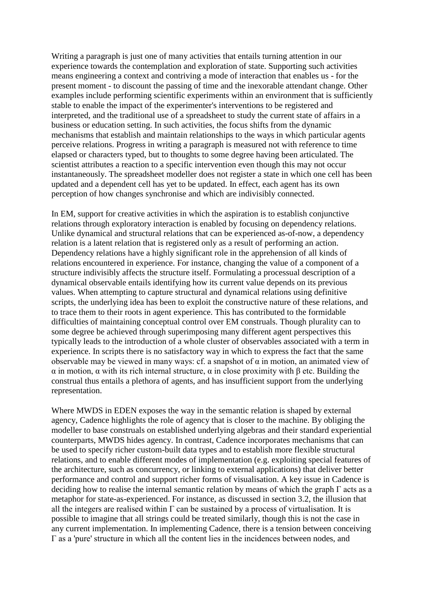Writing a paragraph is just one of many activities that entails turning attention in our experience towards the contemplation and exploration of state. Supporting such activities means engineering a context and contriving a mode of interaction that enables us - for the present moment - to discount the passing of time and the inexorable attendant change. Other examples include performing scientific experiments within an environment that is sufficiently stable to enable the impact of the experimenter's interventions to be registered and interpreted, and the traditional use of a spreadsheet to study the current state of affairs in a business or education setting. In such activities, the focus shifts from the dynamic mechanisms that establish and maintain relationships to the ways in which particular agents perceive relations. Progress in writing a paragraph is measured not with reference to time elapsed or characters typed, but to thoughts to some degree having been articulated. The scientist attributes a reaction to a specific intervention even though this may not occur instantaneously. The spreadsheet modeller does not register a state in which one cell has been updated and a dependent cell has yet to be updated. In effect, each agent has its own perception of how changes synchronise and which are indivisibly connected.

In EM, support for creative activities in which the aspiration is to establish conjunctive relations through exploratory interaction is enabled by focusing on dependency relations. Unlike dynamical and structural relations that can be experienced as-of-now, a dependency relation is a latent relation that is registered only as a result of performing an action. Dependency relations have a highly significant role in the apprehension of all kinds of relations encountered in experience. For instance, changing the value of a component of a structure indivisibly affects the structure itself. Formulating a processual description of a dynamical observable entails identifying how its current value depends on its previous values. When attempting to capture structural and dynamical relations using definitive scripts, the underlying idea has been to exploit the constructive nature of these relations, and to trace them to their roots in agent experience. This has contributed to the formidable difficulties of maintaining conceptual control over EM construals. Though plurality can to some degree be achieved through superimposing many different agent perspectives this typically leads to the introduction of a whole cluster of observables associated with a term in experience. In scripts there is no satisfactory way in which to express the fact that the same observable may be viewed in many ways: cf. a snapshot of  $\alpha$  in motion, an animated view of α in motion, α with its rich internal structure, α in close proximity with β etc. Building the construal thus entails a plethora of agents, and has insufficient support from the underlying representation.

Where MWDS in EDEN exposes the way in the semantic relation is shaped by external agency, Cadence highlights the role of agency that is closer to the machine. By obliging the modeller to base construals on established underlying algebras and their standard experiential counterparts, MWDS hides agency. In contrast, Cadence incorporates mechanisms that can be used to specify richer custom-built data types and to establish more flexible structural relations, and to enable different modes of implementation (e.g. exploiting special features of the architecture, such as concurrency, or linking to external applications) that deliver better performance and control and support richer forms of visualisation. A key issue in Cadence is deciding how to realise the internal semantic relation by means of which the graph Γ acts as a metaphor for state-as-experienced. For instance, as discussed in section 3.2, the illusion that all the integers are realised within  $\Gamma$  can be sustained by a process of virtualisation. It is possible to imagine that all strings could be treated similarly, though this is not the case in any current implementation. In implementing Cadence, there is a tension between conceiving Γ as a 'pure' structure in which all the content lies in the incidences between nodes, and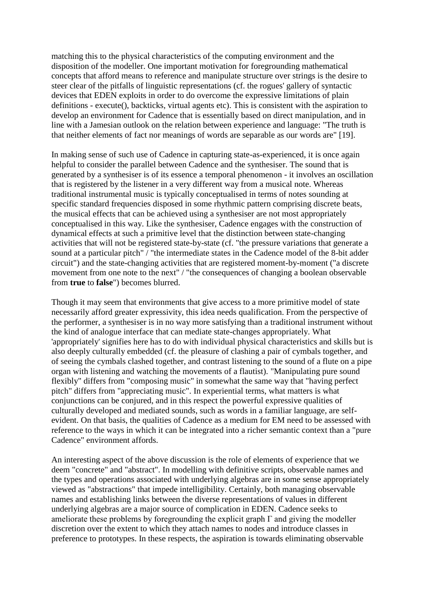matching this to the physical characteristics of the computing environment and the disposition of the modeller. One important motivation for foregrounding mathematical concepts that afford means to reference and manipulate structure over strings is the desire to steer clear of the pitfalls of linguistic representations (cf. the rogues' gallery of syntactic devices that EDEN exploits in order to do overcome the expressive limitations of plain definitions - execute(), backticks, virtual agents etc). This is consistent with the aspiration to develop an environment for Cadence that is essentially based on direct manipulation, and in line with a Jamesian outlook on the relation between experience and language: "The truth is that neither elements of fact nor meanings of words are separable as our words are" [19].

In making sense of such use of Cadence in capturing state-as-experienced, it is once again helpful to consider the parallel between Cadence and the synthesiser. The sound that is generated by a synthesiser is of its essence a temporal phenomenon - it involves an oscillation that is registered by the listener in a very different way from a musical note. Whereas traditional instrumental music is typically conceptualised in terms of notes sounding at specific standard frequencies disposed in some rhythmic pattern comprising discrete beats, the musical effects that can be achieved using a synthesiser are not most appropriately conceptualised in this way. Like the synthesiser, Cadence engages with the construction of dynamical effects at such a primitive level that the distinction between state-changing activities that will not be registered state-by-state (cf. "the pressure variations that generate a sound at a particular pitch" / "the intermediate states in the Cadence model of the 8-bit adder circuit") and the state-changing activities that are registered moment-by-moment ("a discrete movement from one note to the next" / "the consequences of changing a boolean observable from **true** to **false**") becomes blurred.

Though it may seem that environments that give access to a more primitive model of state necessarily afford greater expressivity, this idea needs qualification. From the perspective of the performer, a synthesiser is in no way more satisfying than a traditional instrument without the kind of analogue interface that can mediate state-changes appropriately. What 'appropriately' signifies here has to do with individual physical characteristics and skills but is also deeply culturally embedded (cf. the pleasure of clashing a pair of cymbals together, and of seeing the cymbals clashed together, and contrast listening to the sound of a flute on a pipe organ with listening and watching the movements of a flautist). "Manipulating pure sound flexibly" differs from "composing music" in somewhat the same way that "having perfect pitch" differs from "appreciating music". In experiential terms, what matters is what conjunctions can be conjured, and in this respect the powerful expressive qualities of culturally developed and mediated sounds, such as words in a familiar language, are selfevident. On that basis, the qualities of Cadence as a medium for EM need to be assessed with reference to the ways in which it can be integrated into a richer semantic context than a "pure Cadence" environment affords.

An interesting aspect of the above discussion is the role of elements of experience that we deem "concrete" and "abstract". In modelling with definitive scripts, observable names and the types and operations associated with underlying algebras are in some sense appropriately viewed as "abstractions" that impede intelligibility. Certainly, both managing observable names and establishing links between the diverse representations of values in different underlying algebras are a major source of complication in EDEN. Cadence seeks to ameliorate these problems by foregrounding the explicit graph  $\Gamma$  and giving the modeller discretion over the extent to which they attach names to nodes and introduce classes in preference to prototypes. In these respects, the aspiration is towards eliminating observable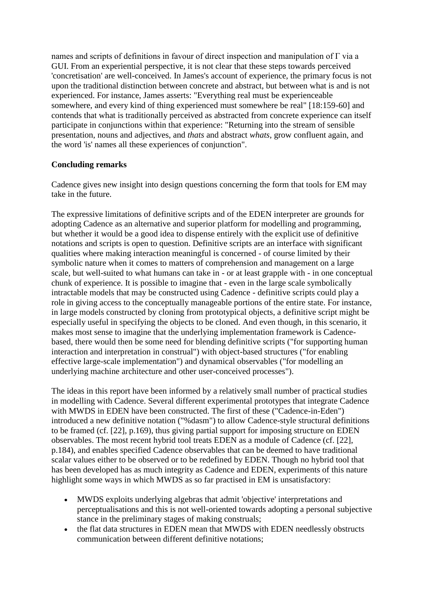names and scripts of definitions in favour of direct inspection and manipulation of Γ via a GUI. From an experiential perspective, it is not clear that these steps towards perceived 'concretisation' are well-conceived. In James's account of experience, the primary focus is not upon the traditional distinction between concrete and abstract, but between what is and is not experienced. For instance, James asserts: "Everything real must be experienceable somewhere, and every kind of thing experienced must somewhere be real" [18:159-60] and contends that what is traditionally perceived as abstracted from concrete experience can itself participate in conjunctions within that experience: "Returning into the stream of sensible presentation, nouns and adjectives, and *thats* and abstract *whats*, grow confluent again, and the word 'is' names all these experiences of conjunction".

### **Concluding remarks**

Cadence gives new insight into design questions concerning the form that tools for EM may take in the future.

The expressive limitations of definitive scripts and of the EDEN interpreter are grounds for adopting Cadence as an alternative and superior platform for modelling and programming, but whether it would be a good idea to dispense entirely with the explicit use of definitive notations and scripts is open to question. Definitive scripts are an interface with significant qualities where making interaction meaningful is concerned - of course limited by their symbolic nature when it comes to matters of comprehension and management on a large scale, but well-suited to what humans can take in - or at least grapple with - in one conceptual chunk of experience. It is possible to imagine that - even in the large scale symbolically intractable models that may be constructed using Cadence - definitive scripts could play a role in giving access to the conceptually manageable portions of the entire state. For instance, in large models constructed by cloning from prototypical objects, a definitive script might be especially useful in specifying the objects to be cloned. And even though, in this scenario, it makes most sense to imagine that the underlying implementation framework is Cadencebased, there would then be some need for blending definitive scripts ("for supporting human interaction and interpretation in construal") with object-based structures ("for enabling effective large-scale implementation") and dynamical observables ("for modelling an underlying machine architecture and other user-conceived processes").

The ideas in this report have been informed by a relatively small number of practical studies in modelling with Cadence. Several different experimental prototypes that integrate Cadence with MWDS in EDEN have been constructed. The first of these ("Cadence-in-Eden") introduced a new definitive notation ("%dasm") to allow Cadence-style structural definitions to be framed (cf. [22], p.169), thus giving partial support for imposing structure on EDEN observables. The most recent hybrid tool treats EDEN as a module of Cadence (cf. [22], p.184), and enables specified Cadence observables that can be deemed to have traditional scalar values either to be observed or to be redefined by EDEN. Though no hybrid tool that has been developed has as much integrity as Cadence and EDEN, experiments of this nature highlight some ways in which MWDS as so far practised in EM is unsatisfactory:

- MWDS exploits underlying algebras that admit 'objective' interpretations and perceptualisations and this is not well-oriented towards adopting a personal subjective stance in the preliminary stages of making construals;
- the flat data structures in EDEN mean that MWDS with EDEN needlessly obstructs communication between different definitive notations;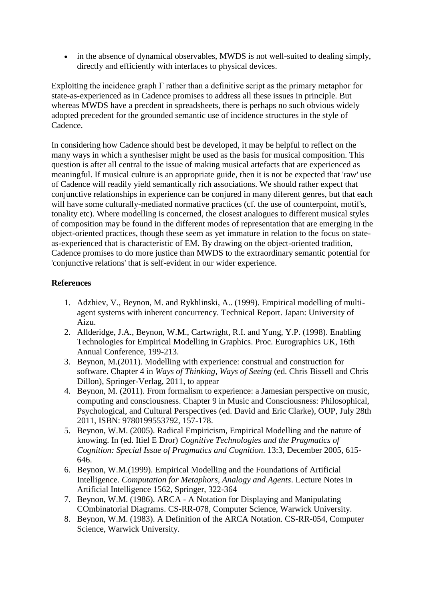in the absence of dynamical observables, MWDS is not well-suited to dealing simply, directly and efficiently with interfaces to physical devices.

Exploiting the incidence graph  $\Gamma$  rather than a definitive script as the primary metaphor for state-as-experienced as in Cadence promises to address all these issues in principle. But whereas MWDS have a precdent in spreadsheets, there is perhaps no such obvious widely adopted precedent for the grounded semantic use of incidence structures in the style of Cadence.

In considering how Cadence should best be developed, it may be helpful to reflect on the many ways in which a synthesiser might be used as the basis for musical composition. This question is after all central to the issue of making musical artefacts that are experienced as meaningful. If musical culture is an appropriate guide, then it is not be expected that 'raw' use of Cadence will readily yield semantically rich associations. We should rather expect that conjunctive relationships in experience can be conjured in many diferent genres, but that each will have some culturally-mediated normative practices (cf. the use of counterpoint, motif's, tonality etc). Where modelling is concerned, the closest analogues to different musical styles of composition may be found in the different modes of representation that are emerging in the object-oriented practices, though these seem as yet immature in relation to the focus on stateas-experienced that is characteristic of EM. By drawing on the object-oriented tradition, Cadence promises to do more justice than MWDS to the extraordinary semantic potential for 'conjunctive relations' that is self-evident in our wider experience.

# **References**

- 1. Adzhiev, V., Beynon, M. and Rykhlinski, A.. (1999). Empirical modelling of multiagent systems with inherent concurrency. Technical Report. Japan: University of Aizu.
- 2. Allderidge, J.A., Beynon, W.M., Cartwright, R.I. and Yung, Y.P. (1998). Enabling Technologies for Empirical Modelling in Graphics. Proc. Eurographics UK, 16th Annual Conference, 199-213.
- 3. Beynon, M.(2011). Modelling with experience: construal and construction for software. Chapter 4 in *Ways of Thinking, Ways of Seeing* (ed. Chris Bissell and Chris Dillon), Springer-Verlag, 2011, to appear
- 4. Beynon, M. (2011). From formalism to experience: a Jamesian perspective on music, computing and consciousness. Chapter 9 in Music and Consciousness: Philosophical, Psychological, and Cultural Perspectives (ed. David and Eric Clarke), OUP, July 28th 2011, ISBN: 9780199553792, 157-178.
- 5. Beynon, W.M. (2005). Radical Empiricism, Empirical Modelling and the nature of knowing. In (ed. Itiel E Dror) *Cognitive Technologies and the Pragmatics of Cognition: Special Issue of Pragmatics and Cognition*. 13:3, December 2005, 615- 646.
- 6. Beynon, W.M.(1999). Empirical Modelling and the Foundations of Artificial Intelligence. *Computation for Metaphors, Analogy and Agents*. Lecture Notes in Artificial Intelligence 1562, Springer, 322-364
- 7. Beynon, W.M. (1986). ARCA A Notation for Displaying and Manipulating COmbinatorial Diagrams. CS-RR-078, Computer Science, Warwick University.
- 8. Beynon, W.M. (1983). A Definition of the ARCA Notation. CS-RR-054, Computer Science, Warwick University.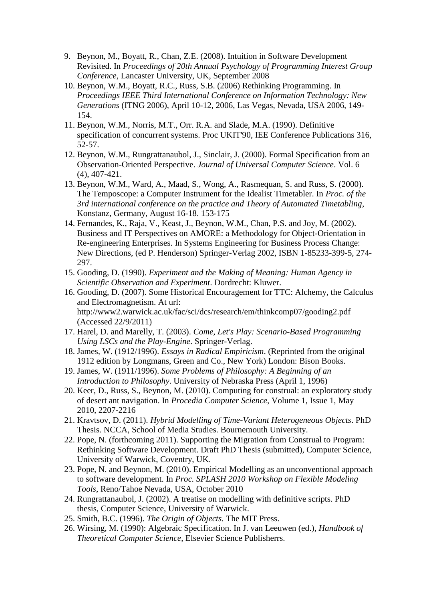- 9. Beynon, M., Boyatt, R., Chan, Z.E. (2008). Intuition in Software Development Revisited. In *Proceedings of 20th Annual Psychology of Programming Interest Group Conference*, Lancaster University, UK, September 2008
- 10. Beynon, W.M., Boyatt, R.C., Russ, S.B. (2006) Rethinking Programming. In *Proceedings IEEE Third International Conference on Information Technology: New Generations* (ITNG 2006), April 10-12, 2006, Las Vegas, Nevada, USA 2006, 149- 154.
- 11. Beynon, W.M., Norris, M.T., Orr. R.A. and Slade, M.A. (1990). Definitive specification of concurrent systems. Proc UKIT'90, IEE Conference Publications 316, 52-57.
- 12. Beynon, W.M., Rungrattanaubol, J., Sinclair, J. (2000). Formal Specification from an Observation-Oriented Perspective. *Journal of Universal Computer Science*. Vol. 6 (4), 407-421.
- 13. Beynon, W.M., Ward, A., Maad, S., Wong, A., Rasmequan, S. and Russ, S. (2000). The Temposcope: a Computer Instrument for the Idealist Timetabler. In *Proc. of the 3rd international conference on the practice and Theory of Automated Timetabling*, Konstanz, Germany, August 16-18. 153-175
- 14. Fernandes, K., Raja, V., Keast, J., Beynon, W.M., Chan, P.S. and Joy, M. (2002). Business and IT Perspectives on AMORE: a Methodology for Object-Orientation in Re-engineering Enterprises. In Systems Engineering for Business Process Change: New Directions, (ed P. Henderson) Springer-Verlag 2002, ISBN 1-85233-399-5, 274- 297.
- 15. Gooding, D. (1990). *Experiment and the Making of Meaning: Human Agency in Scientific Observation and Experiment*. Dordrecht: Kluwer.
- 16. Gooding, D. (2007). Some Historical Encouragement for TTC: Alchemy, the Calculus and Electromagnetism. At url: http://www2.warwick.ac.uk/fac/sci/dcs/research/em/thinkcomp07/gooding2.pdf (Accessed 22/9/2011)
- 17. Harel, D. and Marelly, T. (2003). *Come, Let's Play: Scenario-Based Programming Using LSCs and the Play-Engine*. Springer-Verlag.
- 18. James, W. (1912/1996). *Essays in Radical Empiricism*. (Reprinted from the original 1912 edition by Longmans, Green and Co., New York) London: Bison Books.
- 19. James, W. (1911/1996). *Some Problems of Philosophy: A Beginning of an Introduction to Philosophy*. University of Nebraska Press (April 1, 1996)
- 20. Keer, D., Russ, S., Beynon, M. (2010). Computing for construal: an exploratory study of desert ant navigation. In *Procedia Computer Science*, Volume 1, Issue 1, May 2010, 2207-2216
- 21. Kravtsov, D. (2011). *Hybrid Modelling of Time-Variant Heterogeneous Objects*. PhD Thesis. NCCA, School of Media Studies. Bournemouth University.
- 22. Pope, N. (forthcoming 2011). Supporting the Migration from Construal to Program: Rethinking Software Development. Draft PhD Thesis (submitted), Computer Science, University of Warwick, Coventry, UK.
- 23. Pope, N. and Beynon, M. (2010). Empirical Modelling as an unconventional approach to software development. In *Proc. SPLASH 2010 Workshop on Flexible Modeling Tools*, Reno/Tahoe Nevada, USA, October 2010
- 24. Rungrattanaubol, J. (2002). A treatise on modelling with definitive scripts. PhD thesis, Computer Science, University of Warwick.
- 25. Smith, B.C. (1996). *The Origin of Objects.* The MIT Press.
- 26. Wirsing, M. (1990): Algebraic Specification. In J. van Leeuwen (ed.), *Handbook of Theoretical Computer Science*, Elsevier Science Publisherrs.